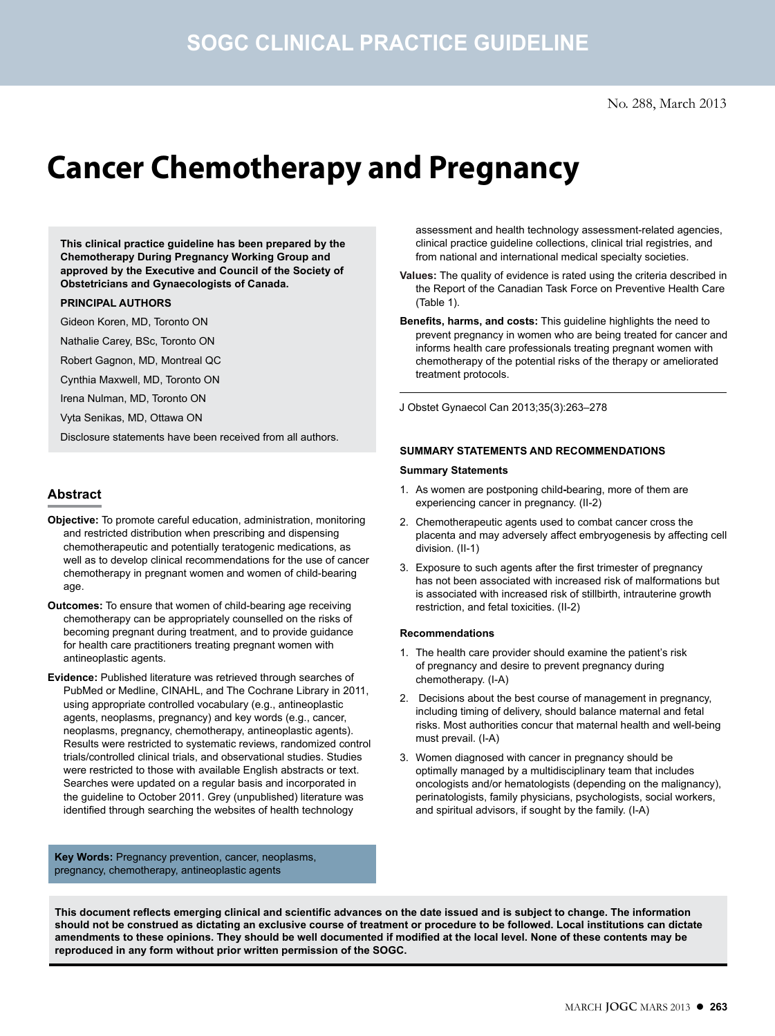No. 288, March 2013

# **Cancer Chemotherapy and Pregnancy**

**This clinical practice guideline has been prepared by the Chemotherapy During Pregnancy Working Group and approved by the Executive and Council of the Society of Obstetricians and Gynaecologists of Canada.**

#### **PRINCIPAL AUTHORS**

Gideon Koren, MD, Toronto ON

Nathalie Carey, BSc, Toronto ON

Robert Gagnon, MD, Montreal QC Cynthia Maxwell, MD, Toronto ON

Irena Nulman, MD, Toronto ON

Vyta Senikas, MD, Ottawa ON

Disclosure statements have been received from all authors.

#### **Abstract**

- **Objective:** To promote careful education, administration, monitoring and restricted distribution when prescribing and dispensing chemotherapeutic and potentially teratogenic medications, as well as to develop clinical recommendations for the use of cancer chemotherapy in pregnant women and women of child-bearing age.
- **Outcomes:** To ensure that women of child-bearing age receiving chemotherapy can be appropriately counselled on the risks of becoming pregnant during treatment, and to provide guidance for health care practitioners treating pregnant women with antineoplastic agents.
- **Evidence:** Published literature was retrieved through searches of PubMed or Medline, CINAHL, and The Cochrane Library in 2011, using appropriate controlled vocabulary (e.g., antineoplastic agents, neoplasms, pregnancy) and key words (e.g., cancer, neoplasms, pregnancy, chemotherapy, antineoplastic agents). Results were restricted to systematic reviews, randomized control trials/controlled clinical trials, and observational studies. Studies were restricted to those with available English abstracts or text. Searches were updated on a regular basis and incorporated in the guideline to October 2011. Grey (unpublished) literature was identified through searching the websites of health technology

**Key Words:** Pregnancy prevention, cancer, neoplasms, pregnancy, chemotherapy, antineoplastic agents

assessment and health technology assessment-related agencies, clinical practice guideline collections, clinical trial registries, and from national and international medical specialty societies.

- **Values:** The quality of evidence is rated using the criteria described in the Report of the Canadian Task Force on Preventive Health Care (Table 1).
- **Benefits, harms, and costs:** This guideline highlights the need to prevent pregnancy in women who are being treated for cancer and informs health care professionals treating pregnant women with chemotherapy of the potential risks of the therapy or ameliorated treatment protocols.

J Obstet Gynaecol Can 2013;35(3):263–278

#### **Summary Statements and Recommendations**

#### **Summary Statements**

- 1. As women are postponing child**-**bearing, more of them are experiencing cancer in pregnancy. (II-2)
- 2. Chemotherapeutic agents used to combat cancer cross the placenta and may adversely affect embryogenesis by affecting cell division. (II-1)
- 3. Exposure to such agents after the first trimester of pregnancy has not been associated with increased risk of malformations but is associated with increased risk of stillbirth, intrauterine growth restriction, and fetal toxicities. (II-2)

#### **Recommendations**

- 1. The health care provider should examine the patient's risk of pregnancy and desire to prevent pregnancy during chemotherapy. (I-A)
- 2. Decisions about the best course of management in pregnancy, including timing of delivery, should balance maternal and fetal risks. Most authorities concur that maternal health and well-being must prevail. (I-A)
- 3. Women diagnosed with cancer in pregnancy should be optimally managed by a multidisciplinary team that includes oncologists and/or hematologists (depending on the malignancy), perinatologists, family physicians, psychologists, social workers, and spiritual advisors, if sought by the family. (I-A)

**This document reflects emerging clinical and scientific advances on the date issued and is subject to change. The information should not be construed as dictating an exclusive course of treatment or procedure to be followed. Local institutions can dictate amendments to these opinions. They should be well documented if modified at the local level. None of these contents may be reproduced in any form without prior written permission of the SOGC.**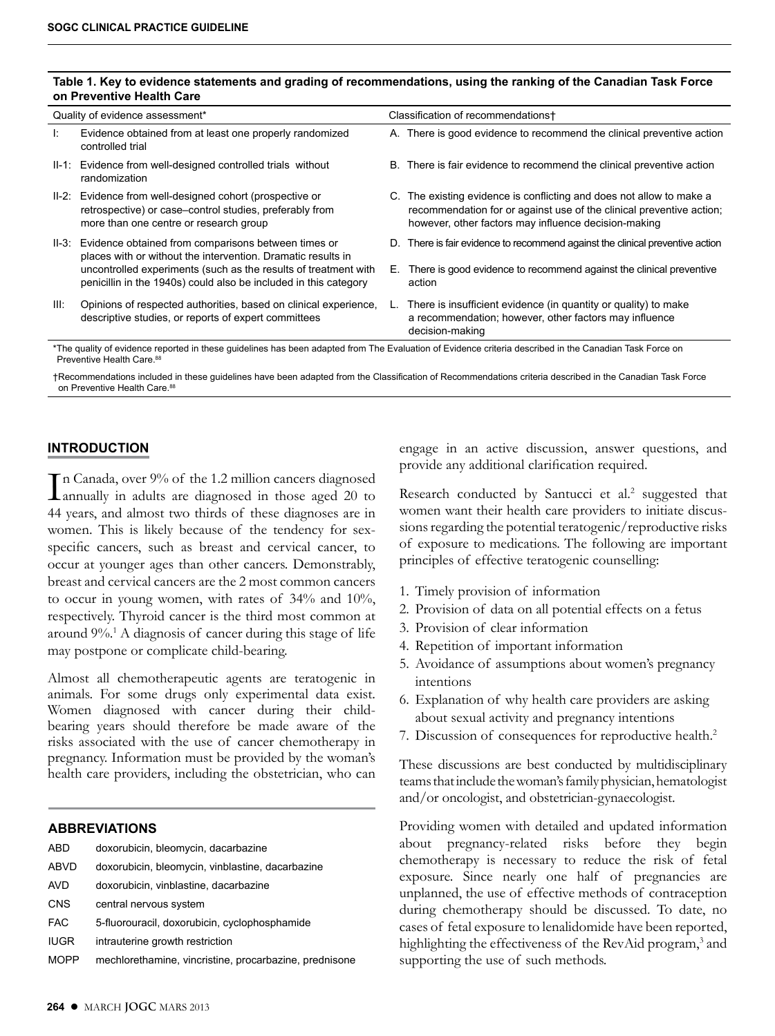#### **Table 1. Key to evidence statements and grading of recommendations, using the ranking of the Canadian Task Force on Preventive Health Care**

|      | Quality of evidence assessment*                                                                                                                               |    | Classification of recommendations+                                                                                                                                                                   |
|------|---------------------------------------------------------------------------------------------------------------------------------------------------------------|----|------------------------------------------------------------------------------------------------------------------------------------------------------------------------------------------------------|
| -l:  | Evidence obtained from at least one properly randomized<br>controlled trial                                                                                   |    | A. There is good evidence to recommend the clinical preventive action                                                                                                                                |
|      | II-1: Evidence from well-designed controlled trials without<br>randomization                                                                                  |    | B. There is fair evidence to recommend the clinical preventive action                                                                                                                                |
|      | II-2: Evidence from well-designed cohort (prospective or<br>retrospective) or case-control studies, preferably from<br>more than one centre or research group |    | C. The existing evidence is conflicting and does not allow to make a<br>recommendation for or against use of the clinical preventive action;<br>however, other factors may influence decision-making |
|      | II-3: Evidence obtained from comparisons between times or<br>places with or without the intervention. Dramatic results in                                     |    | D. There is fair evidence to recommend against the clinical preventive action                                                                                                                        |
|      | uncontrolled experiments (such as the results of treatment with<br>penicillin in the 1940s) could also be included in this category                           | Е. | There is good evidence to recommend against the clinical preventive<br>action                                                                                                                        |
| III: | Opinions of respected authorities, based on clinical experience,<br>descriptive studies, or reports of expert committees                                      | L. | There is insufficient evidence (in quantity or quality) to make<br>a recommendation; however, other factors may influence<br>decision-making                                                         |
|      |                                                                                                                                                               |    |                                                                                                                                                                                                      |

\*The quality of evidence reported in these guidelines has been adapted from The Evaluation of Evidence criteria described in the Canadian Task Force on Preventive Health Care. 88

†Recommendations included in these guidelines have been adapted from the Classification of Recommendations criteria described in the Canadian Task Force on Preventive Health Care. 88

### **INTRODUCTION**

In Canada, over 9% of the 1.2 million cancers diagnosed<br>annually in adults are diagnosed in those aged 20 to n Canada, over 9% of the 1.2 million cancers diagnosed 44 years, and almost two thirds of these diagnoses are in women. This is likely because of the tendency for sexspecific cancers, such as breast and cervical cancer, to occur at younger ages than other cancers. Demonstrably, breast and cervical cancers are the 2 most common cancers to occur in young women, with rates of 34% and 10%, respectively. Thyroid cancer is the third most common at around 9%.1 A diagnosis of cancer during this stage of life may postpone or complicate child-bearing.

Almost all chemotherapeutic agents are teratogenic in animals. For some drugs only experimental data exist. Women diagnosed with cancer during their childbearing years should therefore be made aware of the risks associated with the use of cancer chemotherapy in pregnancy. Information must be provided by the woman's health care providers, including the obstetrician, who can

### **ABBREVIATIONS**

| <b>ABD</b>  | doxorubicin, bleomycin, dacarbazine                    |
|-------------|--------------------------------------------------------|
| <b>ABVD</b> | doxorubicin, bleomycin, vinblastine, dacarbazine       |
| <b>AVD</b>  | doxorubicin, vinblastine, dacarbazine                  |
| <b>CNS</b>  | central nervous system                                 |
| <b>FAC</b>  | 5-fluorouracil, doxorubicin, cyclophosphamide          |
| <b>IUGR</b> | intrauterine growth restriction                        |
| <b>MOPP</b> | mechlorethamine, vincristine, procarbazine, prednisone |

engage in an active discussion, answer questions, and provide any additional clarification required.

Research conducted by Santucci et al.<sup>2</sup> suggested that women want their health care providers to initiate discussions regarding the potential teratogenic/reproductive risks of exposure to medications. The following are important principles of effective teratogenic counselling:

- 1. Timely provision of information
- 2. Provision of data on all potential effects on a fetus
- 3. Provision of clear information
- 4. Repetition of important information
- 5. Avoidance of assumptions about women's pregnancy intentions
- 6. Explanation of why health care providers are asking about sexual activity and pregnancy intentions
- 7. Discussion of consequences for reproductive health.2

These discussions are best conducted by multidisciplinary teams that include the woman's family physician, hematologist and/or oncologist, and obstetrician-gynaecologist.

Providing women with detailed and updated information about pregnancy-related risks before they begin chemotherapy is necessary to reduce the risk of fetal exposure. Since nearly one half of pregnancies are unplanned, the use of effective methods of contraception during chemotherapy should be discussed. To date, no cases of fetal exposure to lenalidomide have been reported, highlighting the effectiveness of the RevAid program,<sup>3</sup> and supporting the use of such methods.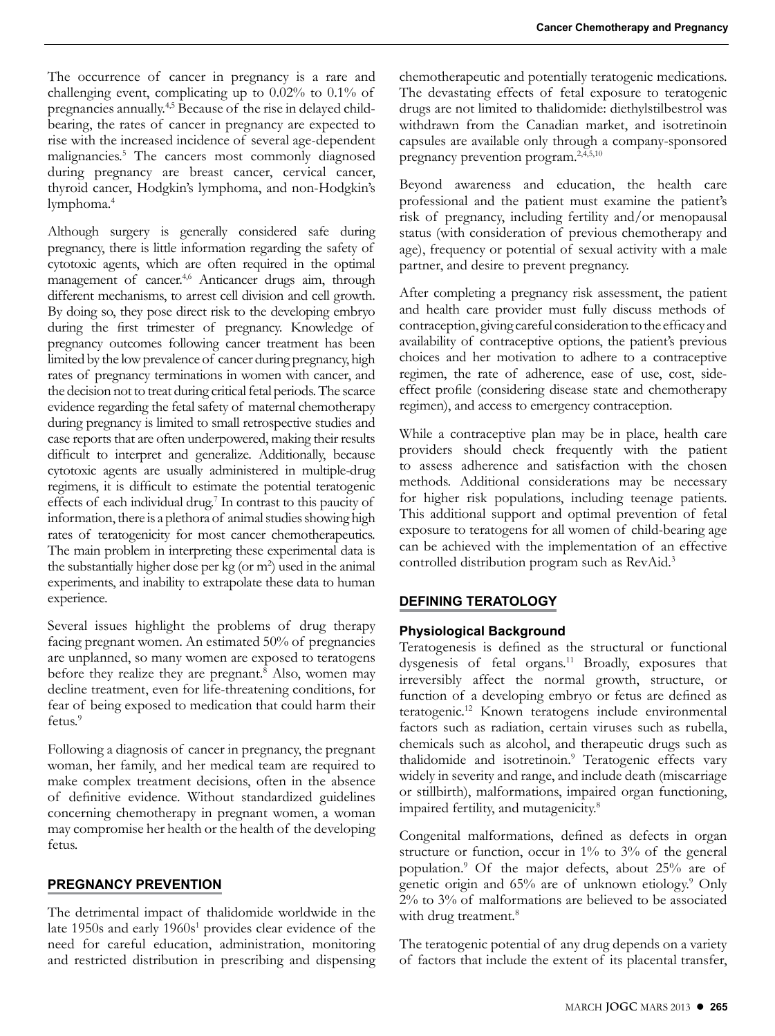lymphoma.4

Although surgery is generally considered safe during pregnancy, there is little information regarding the safety of cytotoxic agents, which are often required in the optimal management of cancer.<sup>4,6</sup> Anticancer drugs aim, through different mechanisms, to arrest cell division and cell growth. By doing so, they pose direct risk to the developing embryo during the first trimester of pregnancy. Knowledge of pregnancy outcomes following cancer treatment has been limited by the low prevalence of cancer during pregnancy, high rates of pregnancy terminations in women with cancer, and the decision not to treat during critical fetal periods. The scarce evidence regarding the fetal safety of maternal chemotherapy during pregnancy is limited to small retrospective studies and case reports that are often underpowered, making their results difficult to interpret and generalize. Additionally, because cytotoxic agents are usually administered in multiple-drug regimens, it is difficult to estimate the potential teratogenic effects of each individual drug.<sup>7</sup> In contrast to this paucity of information, there is a plethora of animal studies showing high rates of teratogenicity for most cancer chemotherapeutics. The main problem in interpreting these experimental data is the substantially higher dose per  $kg (or m<sup>2</sup>)$  used in the animal experiments, and inability to extrapolate these data to human experience.

Several issues highlight the problems of drug therapy facing pregnant women. An estimated 50% of pregnancies are unplanned, so many women are exposed to teratogens before they realize they are pregnant.<sup>8</sup> Also, women may decline treatment, even for life-threatening conditions, for fear of being exposed to medication that could harm their fetus.<sup>9</sup>

Following a diagnosis of cancer in pregnancy, the pregnant woman, her family, and her medical team are required to make complex treatment decisions, often in the absence of definitive evidence. Without standardized guidelines concerning chemotherapy in pregnant women, a woman may compromise her health or the health of the developing fetus.

### **Pregnancy Prevention**

The detrimental impact of thalidomide worldwide in the late 1950s and early 1960s<sup>1</sup> provides clear evidence of the need for careful education, administration, monitoring and restricted distribution in prescribing and dispensing

chemotherapeutic and potentially teratogenic medications. The devastating effects of fetal exposure to teratogenic drugs are not limited to thalidomide: diethylstilbestrol was withdrawn from the Canadian market, and isotretinoin capsules are available only through a company-sponsored pregnancy prevention program.<sup>2,4,5,10</sup>

Beyond awareness and education, the health care professional and the patient must examine the patient's risk of pregnancy, including fertility and/or menopausal status (with consideration of previous chemotherapy and age), frequency or potential of sexual activity with a male partner, and desire to prevent pregnancy.

After completing a pregnancy risk assessment, the patient and health care provider must fully discuss methods of contraception, giving careful consideration to the efficacy and availability of contraceptive options, the patient's previous choices and her motivation to adhere to a contraceptive regimen, the rate of adherence, ease of use, cost, sideeffect profile (considering disease state and chemotherapy regimen), and access to emergency contraception.

While a contraceptive plan may be in place, health care providers should check frequently with the patient to assess adherence and satisfaction with the chosen methods. Additional considerations may be necessary for higher risk populations, including teenage patients. This additional support and optimal prevention of fetal exposure to teratogens for all women of child-bearing age can be achieved with the implementation of an effective controlled distribution program such as RevAid.<sup>3</sup>

# **DEFINING TERATOLOGY**

# **Physiological Background**

Teratogenesis is defined as the structural or functional dysgenesis of fetal organs.11 Broadly, exposures that irreversibly affect the normal growth, structure, or function of a developing embryo or fetus are defined as teratogenic.<sup>12</sup> Known teratogens include environmental factors such as radiation, certain viruses such as rubella, chemicals such as alcohol, and therapeutic drugs such as thalidomide and isotretinoin.<sup>9</sup> Teratogenic effects vary widely in severity and range, and include death (miscarriage or stillbirth), malformations, impaired organ functioning, impaired fertility, and mutagenicity.8

Congenital malformations, defined as defects in organ structure or function, occur in 1% to 3% of the general population.9 Of the major defects, about 25% are of genetic origin and 65% are of unknown etiology.9 Only 2% to 3% of malformations are believed to be associated with drug treatment.<sup>8</sup>

The teratogenic potential of any drug depends on a variety of factors that include the extent of its placental transfer,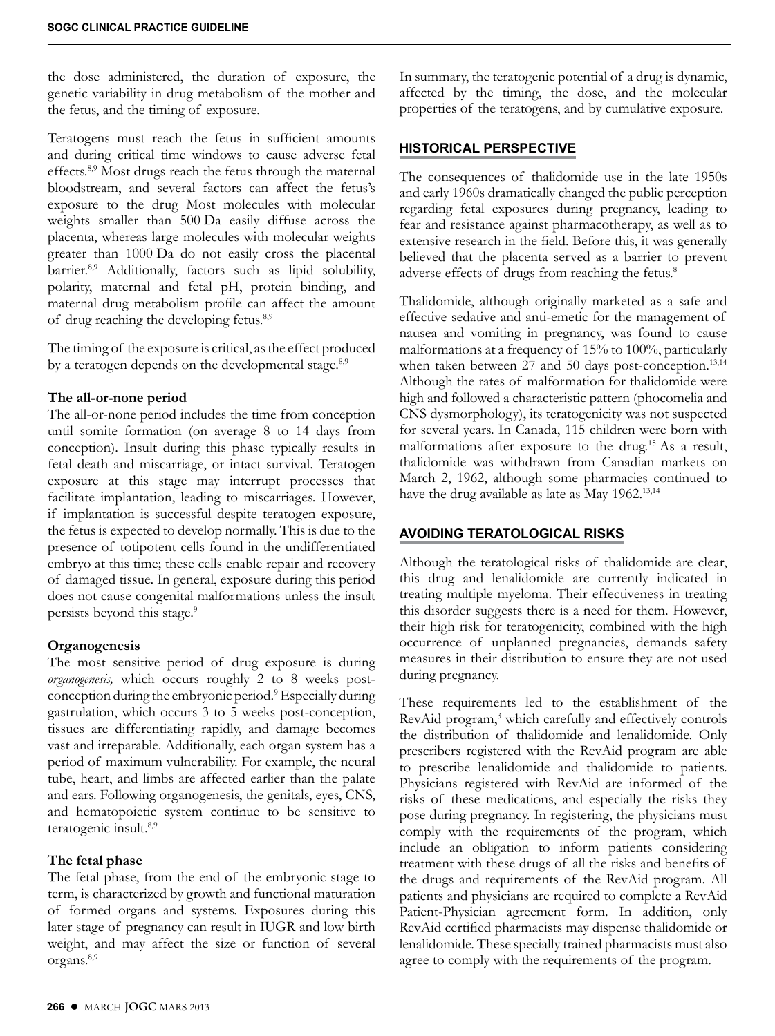the dose administered, the duration of exposure, the genetic variability in drug metabolism of the mother and the fetus, and the timing of exposure.

Teratogens must reach the fetus in sufficient amounts and during critical time windows to cause adverse fetal effects.8,9 Most drugs reach the fetus through the maternal bloodstream, and several factors can affect the fetus's exposure to the drug Most molecules with molecular weights smaller than 500 Da easily diffuse across the placenta, whereas large molecules with molecular weights greater than 1000 Da do not easily cross the placental barrier.<sup>8,9</sup> Additionally, factors such as lipid solubility, polarity, maternal and fetal pH, protein binding, and maternal drug metabolism profile can affect the amount of drug reaching the developing fetus.<sup>8,9</sup>

The timing of the exposure is critical, as the effect produced by a teratogen depends on the developmental stage.<sup>8,9</sup>

### **The all-or-none period**

The all-or-none period includes the time from conception until somite formation (on average 8 to 14 days from conception). Insult during this phase typically results in fetal death and miscarriage, or intact survival. Teratogen exposure at this stage may interrupt processes that facilitate implantation, leading to miscarriages. However, if implantation is successful despite teratogen exposure, the fetus is expected to develop normally. This is due to the presence of totipotent cells found in the undifferentiated embryo at this time; these cells enable repair and recovery of damaged tissue. In general, exposure during this period does not cause congenital malformations unless the insult persists beyond this stage.<sup>9</sup>

### **Organogenesis**

The most sensitive period of drug exposure is during *organogenesis,* which occurs roughly 2 to 8 weeks postconception during the embryonic period.9 Especially during gastrulation, which occurs 3 to 5 weeks post-conception, tissues are differentiating rapidly, and damage becomes vast and irreparable. Additionally, each organ system has a period of maximum vulnerability. For example, the neural tube, heart, and limbs are affected earlier than the palate and ears. Following organogenesis, the genitals, eyes, CNS, and hematopoietic system continue to be sensitive to teratogenic insult.8,9

#### **The fetal phase**

The fetal phase, from the end of the embryonic stage to term, is characterized by growth and functional maturation of formed organs and systems. Exposures during this later stage of pregnancy can result in IUGR and low birth weight, and may affect the size or function of several organs.<sup>8,9</sup>

In summary, the teratogenic potential of a drug is dynamic, affected by the timing, the dose, and the molecular properties of the teratogens, and by cumulative exposure.

#### **HISTORICAL PERSPECTIVE**

The consequences of thalidomide use in the late 1950s and early 1960s dramatically changed the public perception regarding fetal exposures during pregnancy, leading to fear and resistance against pharmacotherapy, as well as to extensive research in the field. Before this, it was generally believed that the placenta served as a barrier to prevent adverse effects of drugs from reaching the fetus.<sup>8</sup>

Thalidomide, although originally marketed as a safe and effective sedative and anti-emetic for the management of nausea and vomiting in pregnancy, was found to cause malformations at a frequency of 15% to 100%, particularly when taken between 27 and 50 days post-conception.<sup>13,14</sup> Although the rates of malformation for thalidomide were high and followed a characteristic pattern (phocomelia and CNS dysmorphology), its teratogenicity was not suspected for several years. In Canada, 115 children were born with malformations after exposure to the drug.<sup>15</sup> As a result, thalidomide was withdrawn from Canadian markets on March 2, 1962, although some pharmacies continued to have the drug available as late as May  $1962.^{13,14}$ 

### **AVOIDING TERATOLOGICAL RISKS**

Although the teratological risks of thalidomide are clear, this drug and lenalidomide are currently indicated in treating multiple myeloma. Their effectiveness in treating this disorder suggests there is a need for them. However, their high risk for teratogenicity, combined with the high occurrence of unplanned pregnancies, demands safety measures in their distribution to ensure they are not used during pregnancy.

These requirements led to the establishment of the RevAid program,<sup>3</sup> which carefully and effectively controls the distribution of thalidomide and lenalidomide. Only prescribers registered with the RevAid program are able to prescribe lenalidomide and thalidomide to patients. Physicians registered with RevAid are informed of the risks of these medications, and especially the risks they pose during pregnancy. In registering, the physicians must comply with the requirements of the program, which include an obligation to inform patients considering treatment with these drugs of all the risks and benefits of the drugs and requirements of the RevAid program. All patients and physicians are required to complete a RevAid Patient-Physician agreement form. In addition, only RevAid certified pharmacists may dispense thalidomide or lenalidomide. These specially trained pharmacists must also agree to comply with the requirements of the program.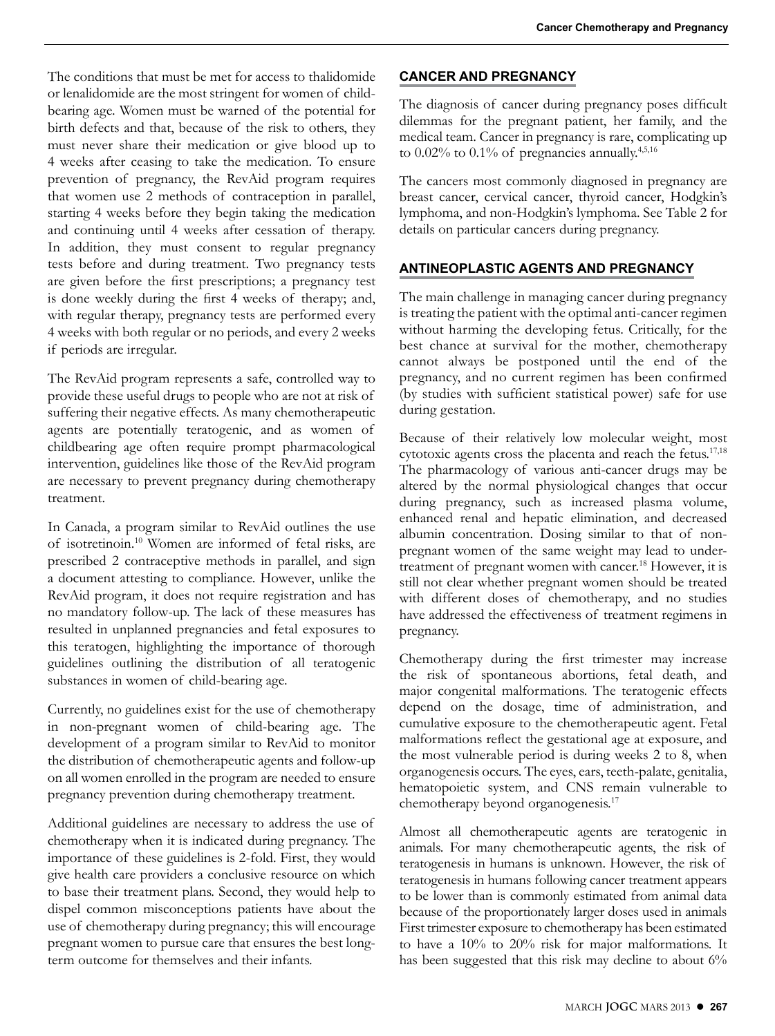The conditions that must be met for access to thalidomide or lenalidomide are the most stringent for women of childbearing age. Women must be warned of the potential for birth defects and that, because of the risk to others, they must never share their medication or give blood up to 4 weeks after ceasing to take the medication. To ensure prevention of pregnancy, the RevAid program requires that women use 2 methods of contraception in parallel, starting 4 weeks before they begin taking the medication and continuing until 4 weeks after cessation of therapy. In addition, they must consent to regular pregnancy tests before and during treatment. Two pregnancy tests are given before the first prescriptions; a pregnancy test is done weekly during the first 4 weeks of therapy; and, with regular therapy, pregnancy tests are performed every 4 weeks with both regular or no periods, and every 2 weeks if periods are irregular.

The RevAid program represents a safe, controlled way to provide these useful drugs to people who are not at risk of suffering their negative effects. As many chemotherapeutic agents are potentially teratogenic, and as women of childbearing age often require prompt pharmacological intervention, guidelines like those of the RevAid program are necessary to prevent pregnancy during chemotherapy treatment.

In Canada, a program similar to RevAid outlines the use of isotretinoin.10 Women are informed of fetal risks, are prescribed 2 contraceptive methods in parallel, and sign a document attesting to compliance. However, unlike the RevAid program, it does not require registration and has no mandatory follow-up. The lack of these measures has resulted in unplanned pregnancies and fetal exposures to this teratogen, highlighting the importance of thorough guidelines outlining the distribution of all teratogenic substances in women of child-bearing age.

Currently, no guidelines exist for the use of chemotherapy in non-pregnant women of child-bearing age. The development of a program similar to RevAid to monitor the distribution of chemotherapeutic agents and follow-up on all women enrolled in the program are needed to ensure pregnancy prevention during chemotherapy treatment.

Additional guidelines are necessary to address the use of chemotherapy when it is indicated during pregnancy. The importance of these guidelines is 2-fold. First, they would give health care providers a conclusive resource on which to base their treatment plans. Second, they would help to dispel common misconceptions patients have about the use of chemotherapy during pregnancy; this will encourage pregnant women to pursue care that ensures the best longterm outcome for themselves and their infants.

# **CANCER AND PREGNANCY**

The diagnosis of cancer during pregnancy poses difficult dilemmas for the pregnant patient, her family, and the medical team. Cancer in pregnancy is rare, complicating up to  $0.02\%$  to  $0.1\%$  of pregnancies annually.<sup>4,5,16</sup>

The cancers most commonly diagnosed in pregnancy are breast cancer, cervical cancer, thyroid cancer, Hodgkin's lymphoma, and non-Hodgkin's lymphoma. See Table 2 for details on particular cancers during pregnancy.

# **ANTINEOPLASTIC AGENTS AND PREGNANCY**

The main challenge in managing cancer during pregnancy is treating the patient with the optimal anti-cancer regimen without harming the developing fetus. Critically, for the best chance at survival for the mother, chemotherapy cannot always be postponed until the end of the pregnancy, and no current regimen has been confirmed (by studies with sufficient statistical power) safe for use during gestation.

Because of their relatively low molecular weight, most cytotoxic agents cross the placenta and reach the fetus.17,18 The pharmacology of various anti-cancer drugs may be altered by the normal physiological changes that occur during pregnancy, such as increased plasma volume, enhanced renal and hepatic elimination, and decreased albumin concentration. Dosing similar to that of nonpregnant women of the same weight may lead to undertreatment of pregnant women with cancer.<sup>18</sup> However, it is still not clear whether pregnant women should be treated with different doses of chemotherapy, and no studies have addressed the effectiveness of treatment regimens in pregnancy.

Chemotherapy during the first trimester may increase the risk of spontaneous abortions, fetal death, and major congenital malformations. The teratogenic effects depend on the dosage, time of administration, and cumulative exposure to the chemotherapeutic agent. Fetal malformations reflect the gestational age at exposure, and the most vulnerable period is during weeks 2 to 8, when organogenesis occurs. The eyes, ears, teeth-palate, genitalia, hematopoietic system, and CNS remain vulnerable to chemotherapy beyond organogenesis.<sup>17</sup>

Almost all chemotherapeutic agents are teratogenic in animals. For many chemotherapeutic agents, the risk of teratogenesis in humans is unknown. However, the risk of teratogenesis in humans following cancer treatment appears to be lower than is commonly estimated from animal data because of the proportionately larger doses used in animals First trimester exposure to chemotherapy has been estimated to have a 10% to 20% risk for major malformations. It has been suggested that this risk may decline to about 6%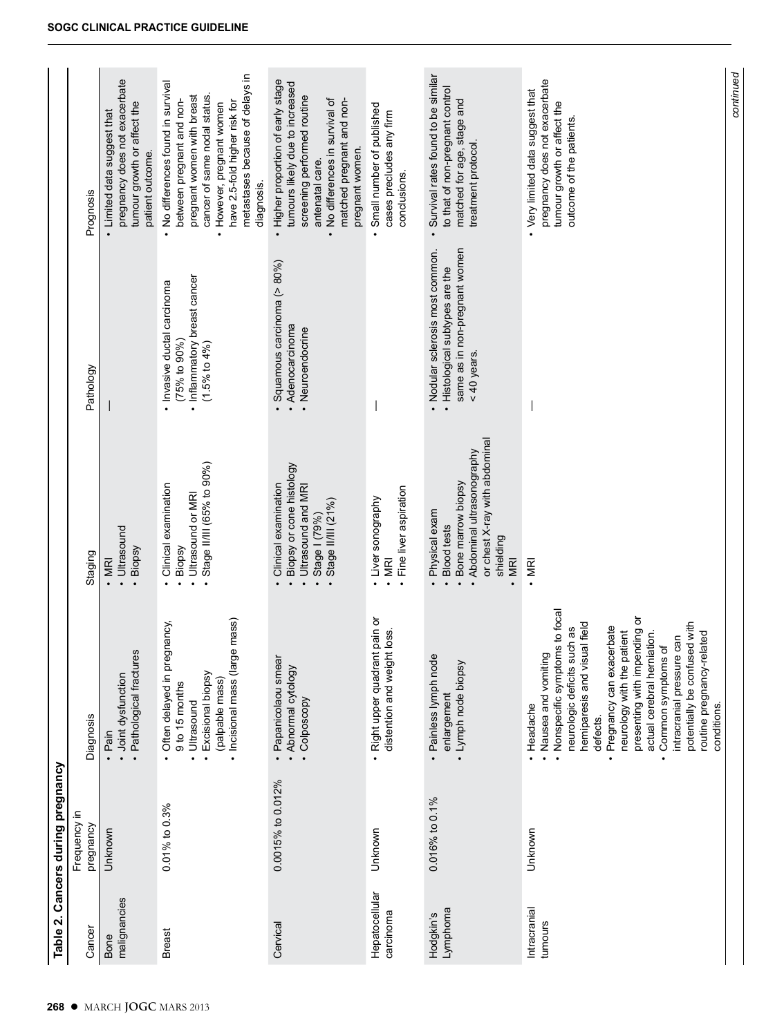|                | Table 2. Cancers during pregnancy<br>Frequency in<br>pregnancy | Diagnosis                                                                                                                                                                                                                                                                                                                                                                                           | Staging                                                                                                                                            | Pathology                                                                                                           | Prognosis                                                                                                                                                                                                                                  |
|----------------|----------------------------------------------------------------|-----------------------------------------------------------------------------------------------------------------------------------------------------------------------------------------------------------------------------------------------------------------------------------------------------------------------------------------------------------------------------------------------------|----------------------------------------------------------------------------------------------------------------------------------------------------|---------------------------------------------------------------------------------------------------------------------|--------------------------------------------------------------------------------------------------------------------------------------------------------------------------------------------------------------------------------------------|
|                | Unknown                                                        | · Pathological fractures<br>Joint dysfunction<br>Pain                                                                                                                                                                                                                                                                                                                                               | Ultrasound<br>· Biopsy<br>· MRI                                                                                                                    |                                                                                                                     | pregnancy does not exacerbate<br>tumour growth or affect the<br>• Limited data suggest that<br>patient outcome.                                                                                                                            |
|                | 0.01% to 0.3%                                                  | Incisional mass (large mass)<br>egnancy,<br>• Often delayed in pr<br>· Excisional biopsy<br>(palpable mass)<br>9 to 15 months<br>· Ultrasound                                                                                                                                                                                                                                                       | Stage II/III (65% to 90%)<br>Clinical examination<br>Ultrasound or MRI<br>Biopsy                                                                   | · Inflammatory breast cancer<br>Invasive ductal carcinoma<br>(75% to 90%)<br>$(1.5\% \text{ to } 4\%)$              | metastases because of delays in<br>• No differences found in survival<br>cancer of same nodal status.<br>pregnant women with breast<br>between pregnant and non-<br>have 2.5-fold higher risk for<br>However, pregnant women<br>diagnosis. |
|                | 0.0015% to 0.012%                                              | · Papanicolaou smear<br>• Abnormal cytology<br>Colposcopy                                                                                                                                                                                                                                                                                                                                           | Biopsy or cone histology<br>Clinical examination<br>Ultrasound and MRI<br>Stage II/III (21%)<br>Stage I (79%)                                      | · Squamous carcinoma (> 80%)<br>· Adenocarcinoma<br>• Neuroendocrine                                                | • Higher proportion of early stage<br>tumours likely due to increased<br>screening performed routine<br>No differences in survival of<br>matched pregnant and non-<br>pregnant women.<br>antenatal care.                                   |
| Hepatocellular | Unknown                                                        | · Right upper quadrant pain or<br>distention and weight loss.                                                                                                                                                                                                                                                                                                                                       | · Fine liver aspiration<br>Liver sonography<br>· MRI                                                                                               |                                                                                                                     | Small number of published<br>cases precludes any firm<br>conclusions.                                                                                                                                                                      |
|                | 0.016% to 0.1%                                                 | $\mathbf{\Omega}$<br>· Painless lymph nod<br>· Lymph node biopsy<br>enlargement                                                                                                                                                                                                                                                                                                                     | or chest X-ray with abdominal<br>Abdominal ultrasonography<br>Bone marrow biopsy<br>Physical exam<br><b>Blood tests</b><br>shielding<br><b>NRI</b> | same as in non-pregnant women<br>• Nodular sclerosis most common.<br>. Histological subtypes are the<br>< 40 years. | Survival rates found to be similar<br>to that of non-pregnant control<br>matched for age, stage and<br>treatment protocol.                                                                                                                 |
|                | Unknown                                                        | Nonspecific symptoms to focal<br>presenting with impending or<br>hemiparesis and visual field<br>potentially be confused with<br>Pregnancy can exacerbate<br>neurologic deficits such as<br>actual cerebral herniation.<br>neurology with the patient<br>routine pregnancy-related<br>intracranial pressure can<br>Common symptoms of<br>Nausea and vomiting<br>conditions.<br>Headache<br>defects. | · MRI                                                                                                                                              |                                                                                                                     | pregnancy does not exacerbate<br>• Very limited data suggest that<br>tumour growth or affect the<br>outcome of the patients.                                                                                                               |
|                |                                                                |                                                                                                                                                                                                                                                                                                                                                                                                     |                                                                                                                                                    |                                                                                                                     | continued                                                                                                                                                                                                                                  |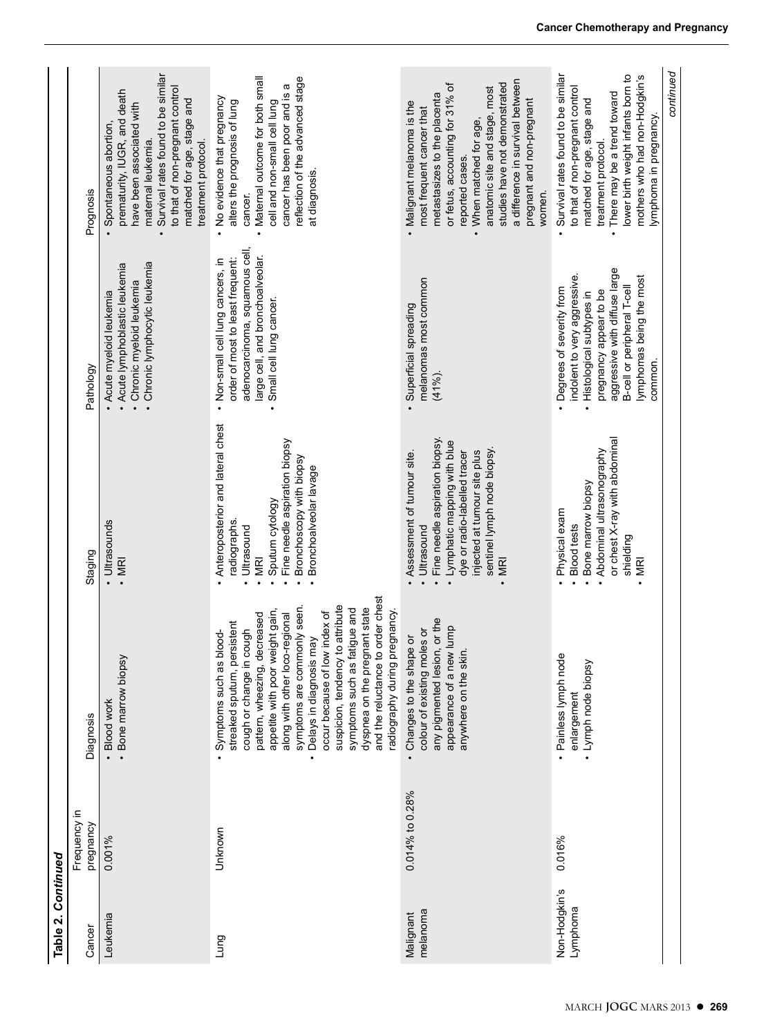| Table 2. Continued        |                           |                                                                                                                                                                                                                                                                                                                                                                                                                                                                    |                                                                                                                                                                                                                                     |                                                                                                                                                                                                                         |                                                                                                                                                                                                                                                                                                                      |
|---------------------------|---------------------------|--------------------------------------------------------------------------------------------------------------------------------------------------------------------------------------------------------------------------------------------------------------------------------------------------------------------------------------------------------------------------------------------------------------------------------------------------------------------|-------------------------------------------------------------------------------------------------------------------------------------------------------------------------------------------------------------------------------------|-------------------------------------------------------------------------------------------------------------------------------------------------------------------------------------------------------------------------|----------------------------------------------------------------------------------------------------------------------------------------------------------------------------------------------------------------------------------------------------------------------------------------------------------------------|
| Cancer                    | Frequency in<br>pregnancy | Diagnosis                                                                                                                                                                                                                                                                                                                                                                                                                                                          | Staging                                                                                                                                                                                                                             | Pathology                                                                                                                                                                                                               | Prognosis                                                                                                                                                                                                                                                                                                            |
| Leukemia                  | 0.001%                    | · Bone marrow biopsy<br>· Blood work                                                                                                                                                                                                                                                                                                                                                                                                                               | · Ultrasounds<br>· MRI                                                                                                                                                                                                              | Chronic lymphocytic leukemia<br>Acute lymphoblastic leukemia<br>Chronic myeloid leukemia<br>Acute myeloid leukemia                                                                                                      | Survival rates found to be similar<br>to that of non-pregnant control<br>prematurity, IUGR, and death<br>matched for age, stage and<br>have been associated with<br>Spontaneous abortion,<br>treatment protocol.<br>maternal leukemia.                                                                               |
| Lung                      | Unknown                   | and the reluctance to order chest<br>to attribute<br>symptoms are commonly seen.<br>dyspnea on the pregnant state<br>symptoms such as fatigue and<br>appetite with poor weight gain,<br>radiography during pregnancy.<br>occur because of low index of<br>along with other loco-regional<br>pattern, wheezing, decreased<br>streaked sputum, persistent<br>cough or change in cough<br>Symptoms such as blood-<br>· Delays in diagnosis may<br>suspicion, tendency | Anteroposterior and lateral chest<br>Fine needle aspiration biopsy<br>Bronchoscopy with biopsy<br>Bronchoalveolar lavage<br>Sputum cytology<br>radiographs.<br>Ultrasound<br>MRI                                                    | adenocarcinoma, squamous cell,<br>large cell, and bronchoalveolar.<br>• Non-small cell lung cancers, in<br>order of most to least frequent:<br>Small cell lung cancer.                                                  | • Maternal outcome for both small<br>reflection of the advanced stage<br>cancer has been poor and is a<br>• No evidence that pregnancy<br>cell and non-small cell lung<br>alters the prognosis of lung<br>at diagnosis.<br>cancer.                                                                                   |
| melanoma<br>Malignant     | 0.014% to 0.28%           | any pigmented lesion, or the<br>appearance of a new lump<br>colour of existing moles or<br>Changes to the shape or<br>anywhere on the skin.                                                                                                                                                                                                                                                                                                                        | Fine needle aspiration biopsy.<br>Lymphatic mapping with blue<br>sentinel lymph node biopsy.<br>injected at tumour site plus<br>Assessment of tumour site.<br>dye or radio-labelled tracer<br>Ultrasound<br>$\overline{\mathbb{R}}$ | melanomas most common<br>Superficial spreading<br>(41%).                                                                                                                                                                | a difference in survival between<br>studies have not demonstrated<br>or fetus, accounting for 31% of<br>anatomic site and stage, most<br>metastasizes to the placenta<br>pregnant and non-pregnant<br>. Malignant melanoma is the<br>most frequent cancer that<br>When matched for age,<br>reported cases.<br>women. |
| Non-Hodgkin's<br>Lymphoma | 0.016%                    | · Painless lymph node<br>Lymph node biopsy<br>enlargement                                                                                                                                                                                                                                                                                                                                                                                                          | or chest X-ray with abdominal<br>Abdominal ultrasonography<br>Bone marrow biopsy<br>Physical exam<br><b>Blood tests</b><br>shielding<br>MRI                                                                                         | aggressive with diffuse large<br>indolent to very aggressive.<br>lymphomas being the most<br>B-cell or peripheral T-cell<br>· Degrees of severity from<br>pregnancy appear to be<br>Histological subtypes in<br>common. | Survival rates found to be similar<br>lower birth weight infants born to<br>mothers who had non-Hodgkin's<br>to that of non-pregnant control<br>There may be a trend toward<br>matched for age, stage and<br>lymphoma in pregnancy.<br>treatment protocol.                                                           |
|                           |                           |                                                                                                                                                                                                                                                                                                                                                                                                                                                                    |                                                                                                                                                                                                                                     |                                                                                                                                                                                                                         | continued                                                                                                                                                                                                                                                                                                            |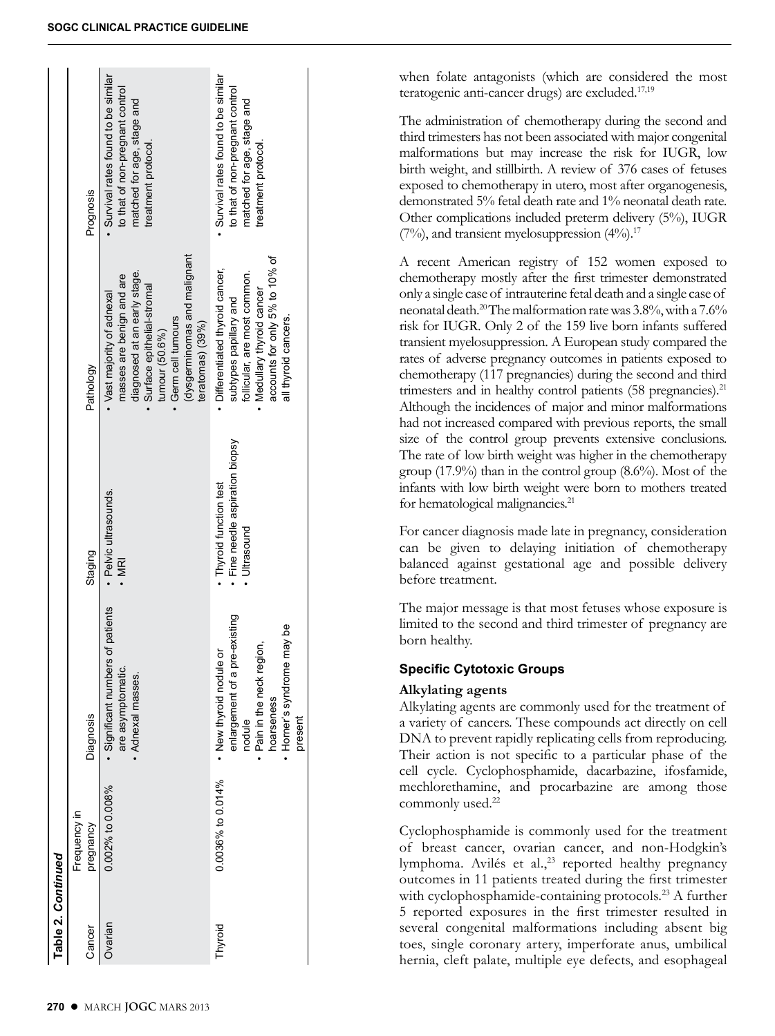| Table 2. Continued |                           |                                                                                                                                                       |                                                                      |                                                                                                                                                                                                               |                                                                                                                            |
|--------------------|---------------------------|-------------------------------------------------------------------------------------------------------------------------------------------------------|----------------------------------------------------------------------|---------------------------------------------------------------------------------------------------------------------------------------------------------------------------------------------------------------|----------------------------------------------------------------------------------------------------------------------------|
| Cancer             | Frequency in<br>pregnancy | <b>Diagnosis</b>                                                                                                                                      | Staging                                                              | Pathology                                                                                                                                                                                                     | Prognosis                                                                                                                  |
| Ovarian            | 0.002% to 0.008%          | f patients<br>Significant numbers of<br>are asymptomatic.<br>Adnexal masses.                                                                          | · Pelvic ultrasounds.<br>· MRI                                       | dysgerminomas and malignant<br>diagnosed at an early stage.<br>masses are benign and are<br>Surface epithelial-stromal<br>Vast majority of adnexal<br>Germ cell tumours<br>teratomas) (39%)<br>tumour (50.6%) | Survival rates found to be similar<br>to that of non-pregnant control<br>matched for age, stage and<br>treatment protocol. |
| Thyroid            | 0.0036% to 0.014%         | enlargement of a pre-existing<br>. Horner's syndrome may be<br>Pain in the neck region,<br>• New thyroid nodule or<br>hoarseness<br>nodule<br>present | Fine needle aspiration biopsy<br>Thyroid function test<br>Ultrasound | accounts for only 5% to 10% of<br>Differentiated thyroid cancer,<br>follicular, are most common.<br>• Medullary thyroid cancer<br>subtypes papillary and<br>all thyroid cancers.                              | Survival rates found to be similar<br>to that of non-pregnant control<br>matched for age, stage and<br>reatment protocol.  |
|                    |                           |                                                                                                                                                       |                                                                      |                                                                                                                                                                                                               |                                                                                                                            |

when folate antagonists (which are considered the most teratogenic anti-cancer drugs) are excluded.17,19

The administration of chemotherapy during the second and third trimesters has not been associated with major congenital malformations but may increase the risk for IUGR, low birth weight, and stillbirth. A review of 376 cases of fetuses exposed to chemotherapy in utero, most after organogenesis, demonstrated 5% fetal death rate and 1% neonatal death rate. Other complications included preterm delivery (5%), IUGR  $(7\%)$ , and transient myelosuppression  $(4\%)$ <sup>17</sup>

A recent American registry of 152 women exposed to chemotherapy mostly after the first trimester demonstrated only a single case of intrauterine fetal death and a single case of neonatal death.20 The malformation rate was 3.8%, with a 7.6% risk for IUGR. Only 2 of the 159 live born infants suffered transient myelosuppression. A European study compared the rates of adverse pregnancy outcomes in patients exposed to chemotherapy (117 pregnancies) during the second and third trimesters and in healthy control patients (58 pregnancies).<sup>21</sup> Although the incidences of major and minor malformations had not increased compared with previous reports, the small size of the control group prevents extensive conclusions. The rate of low birth weight was higher in the chemotherapy group (17.9%) than in the control group (8.6%). Most of the infants with low birth weight were born to mothers treated for hematological malignancies.21

For cancer diagnosis made late in pregnancy, consideration can be given to delaying initiation of chemotherapy balanced against gestational age and possible delivery before treatment.

The major message is that most fetuses whose exposure is limited to the second and third trimester of pregnancy are born healthy.

# **Specific Cytotoxic Groups**

### **Alkylating agents**

Alkylating agents are commonly used for the treatment of a variety of cancers. These compounds act directly on cell DNA to prevent rapidly replicating cells from reproducing. Their action is not specific to a particular phase of the cell cycle. Cyclophosphamide, dacarbazine, ifosfamide, mechlorethamine, and procarbazine are among those commonly used.<sup>22</sup>

Cyclophosphamide is commonly used for the treatment of breast cancer, ovarian cancer, and non-Hodgkin's lymphoma. Avilés et al.,<sup>23</sup> reported healthy pregnancy outcomes in 11 patients treated during the first trimester with cyclophosphamide-containing protocols.<sup>23</sup> A further 5 reported exposures in the first trimester resulted in several congenital malformations including absent big toes, single coronary artery, imperforate anus, umbilical hernia, cleft palate, multiple eye defects, and esophageal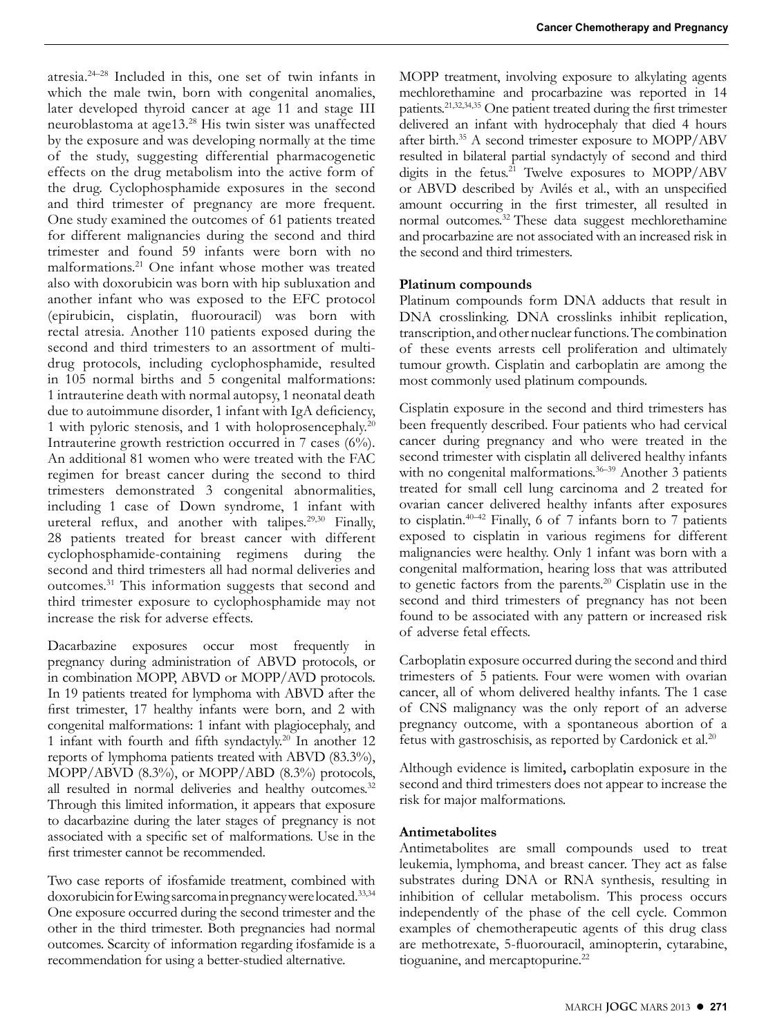atresia.24–28 Included in this, one set of twin infants in which the male twin, born with congenital anomalies, later developed thyroid cancer at age 11 and stage III neuroblastoma at age13.28 His twin sister was unaffected by the exposure and was developing normally at the time of the study, suggesting differential pharmacogenetic effects on the drug metabolism into the active form of the drug. Cyclophosphamide exposures in the second and third trimester of pregnancy are more frequent. One study examined the outcomes of 61 patients treated for different malignancies during the second and third trimester and found 59 infants were born with no malformations.21 One infant whose mother was treated also with doxorubicin was born with hip subluxation and another infant who was exposed to the EFC protocol (epirubicin, cisplatin, fluorouracil) was born with rectal atresia. Another 110 patients exposed during the second and third trimesters to an assortment of multidrug protocols, including cyclophosphamide, resulted in 105 normal births and 5 congenital malformations: 1 intrauterine death with normal autopsy, 1 neonatal death due to autoimmune disorder, 1 infant with IgA deficiency, 1 with pyloric stenosis, and 1 with holoprosencephaly.20 Intrauterine growth restriction occurred in 7 cases (6%). An additional 81 women who were treated with the FAC regimen for breast cancer during the second to third trimesters demonstrated 3 congenital abnormalities, including 1 case of Down syndrome, 1 infant with ureteral reflux, and another with talipes.<sup>29,30</sup> Finally, 28 patients treated for breast cancer with different cyclophosphamide-containing regimens during the second and third trimesters all had normal deliveries and outcomes.31 This information suggests that second and third trimester exposure to cyclophosphamide may not increase the risk for adverse effects.

Dacarbazine exposures occur most frequently in pregnancy during administration of ABVD protocols, or in combination MOPP, ABVD or MOPP/AVD protocols. In 19 patients treated for lymphoma with ABVD after the first trimester, 17 healthy infants were born, and 2 with congenital malformations: 1 infant with plagiocephaly, and 1 infant with fourth and fifth syndactyly.<sup>20</sup> In another 12 reports of lymphoma patients treated with ABVD (83.3%), MOPP/ABVD (8.3%), or MOPP/ABD (8.3%) protocols, all resulted in normal deliveries and healthy outcomes.<sup>32</sup> Through this limited information, it appears that exposure to dacarbazine during the later stages of pregnancy is not associated with a specific set of malformations. Use in the first trimester cannot be recommended.

Two case reports of ifosfamide treatment, combined with doxorubicin for Ewing sarcoma in pregnancy were located.<sup>33,34</sup> One exposure occurred during the second trimester and the other in the third trimester. Both pregnancies had normal outcomes. Scarcity of information regarding ifosfamide is a recommendation for using a better-studied alternative.

MOPP treatment, involving exposure to alkylating agents mechlorethamine and procarbazine was reported in 14 patients.21,32,34,35 One patient treated during the first trimester delivered an infant with hydrocephaly that died 4 hours after birth.35 A second trimester exposure to MOPP/ABV resulted in bilateral partial syndactyly of second and third digits in the fetus. $^{21}$  Twelve exposures to MOPP/ABV or ABVD described by Avilés et al., with an unspecified amount occurring in the first trimester, all resulted in normal outcomes.32 These data suggest mechlorethamine and procarbazine are not associated with an increased risk in the second and third trimesters.

# **Platinum compounds**

Platinum compounds form DNA adducts that result in DNA crosslinking. DNA crosslinks inhibit replication, transcription, and other nuclear functions. The combination of these events arrests cell proliferation and ultimately tumour growth. Cisplatin and carboplatin are among the most commonly used platinum compounds.

Cisplatin exposure in the second and third trimesters has been frequently described. Four patients who had cervical cancer during pregnancy and who were treated in the second trimester with cisplatin all delivered healthy infants with no congenital malformations.<sup>36-39</sup> Another 3 patients treated for small cell lung carcinoma and 2 treated for ovarian cancer delivered healthy infants after exposures to cisplatin.<sup>40–42</sup> Finally, 6 of 7 infants born to 7 patients exposed to cisplatin in various regimens for different malignancies were healthy. Only 1 infant was born with a congenital malformation, hearing loss that was attributed to genetic factors from the parents.20 Cisplatin use in the second and third trimesters of pregnancy has not been found to be associated with any pattern or increased risk of adverse fetal effects.

Carboplatin exposure occurred during the second and third trimesters of 5 patients. Four were women with ovarian cancer, all of whom delivered healthy infants. The 1 case of CNS malignancy was the only report of an adverse pregnancy outcome, with a spontaneous abortion of a fetus with gastroschisis, as reported by Cardonick et al.20

Although evidence is limited**,** carboplatin exposure in the second and third trimesters does not appear to increase the risk for major malformations.

# **Antimetabolites**

Antimetabolites are small compounds used to treat leukemia, lymphoma, and breast cancer. They act as false substrates during DNA or RNA synthesis, resulting in inhibition of cellular metabolism. This process occurs independently of the phase of the cell cycle. Common examples of chemotherapeutic agents of this drug class are methotrexate, 5-fluorouracil, aminopterin, cytarabine, tioguanine, and mercaptopurine.<sup>22</sup>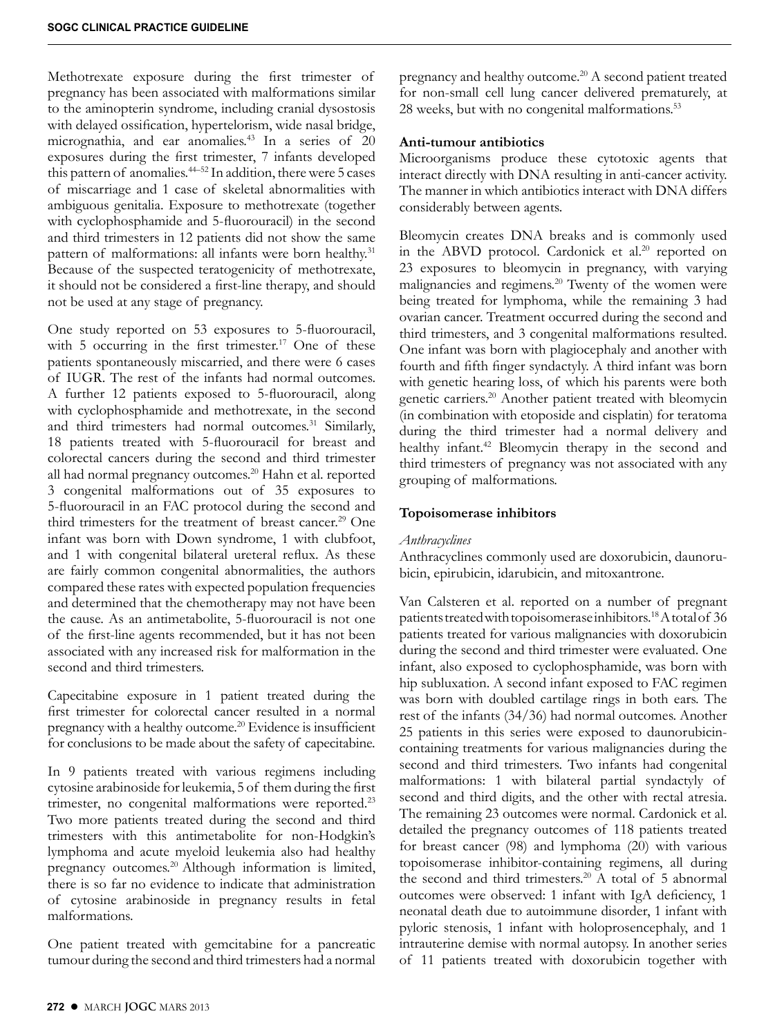Methotrexate exposure during the first trimester of pregnancy has been associated with malformations similar to the aminopterin syndrome, including cranial dysostosis with delayed ossification, hypertelorism, wide nasal bridge, micrognathia, and ear anomalies.<sup>43</sup> In a series of 20 exposures during the first trimester, 7 infants developed this pattern of anomalies.44–52 In addition, there were 5 cases of miscarriage and 1 case of skeletal abnormalities with ambiguous genitalia. Exposure to methotrexate (together with cyclophosphamide and 5-fluorouracil) in the second and third trimesters in 12 patients did not show the same pattern of malformations: all infants were born healthy.<sup>31</sup> Because of the suspected teratogenicity of methotrexate, it should not be considered a first-line therapy, and should not be used at any stage of pregnancy.

One study reported on 53 exposures to 5-fluorouracil, with 5 occurring in the first trimester.<sup>17</sup> One of these patients spontaneously miscarried, and there were 6 cases of IUGR. The rest of the infants had normal outcomes. A further 12 patients exposed to 5-fluorouracil, along with cyclophosphamide and methotrexate, in the second and third trimesters had normal outcomes.<sup>31</sup> Similarly, 18 patients treated with 5-fluorouracil for breast and colorectal cancers during the second and third trimester all had normal pregnancy outcomes.<sup>20</sup> Hahn et al. reported 3 congenital malformations out of 35 exposures to 5-fluorouracil in an FAC protocol during the second and third trimesters for the treatment of breast cancer.<sup>29</sup> One infant was born with Down syndrome, 1 with clubfoot, and 1 with congenital bilateral ureteral reflux. As these are fairly common congenital abnormalities, the authors compared these rates with expected population frequencies and determined that the chemotherapy may not have been the cause. As an antimetabolite, 5-fluorouracil is not one of the first-line agents recommended, but it has not been associated with any increased risk for malformation in the second and third trimesters.

Capecitabine exposure in 1 patient treated during the first trimester for colorectal cancer resulted in a normal pregnancy with a healthy outcome.20 Evidence is insufficient for conclusions to be made about the safety of capecitabine.

In 9 patients treated with various regimens including cytosine arabinoside for leukemia, 5 of them during the first trimester, no congenital malformations were reported.<sup>23</sup> Two more patients treated during the second and third trimesters with this antimetabolite for non-Hodgkin's lymphoma and acute myeloid leukemia also had healthy pregnancy outcomes.<sup>20</sup> Although information is limited, there is so far no evidence to indicate that administration of cytosine arabinoside in pregnancy results in fetal malformations.

One patient treated with gemcitabine for a pancreatic tumour during the second and third trimesters had a normal

pregnancy and healthy outcome.20 A second patient treated for non-small cell lung cancer delivered prematurely, at 28 weeks, but with no congenital malformations.<sup>53</sup>

### **Anti-tumour antibiotics**

Microorganisms produce these cytotoxic agents that interact directly with DNA resulting in anti-cancer activity. The manner in which antibiotics interact with DNA differs considerably between agents.

Bleomycin creates DNA breaks and is commonly used in the ABVD protocol. Cardonick et al.<sup>20</sup> reported on 23 exposures to bleomycin in pregnancy, with varying malignancies and regimens.<sup>20</sup> Twenty of the women were being treated for lymphoma, while the remaining 3 had ovarian cancer. Treatment occurred during the second and third trimesters, and 3 congenital malformations resulted. One infant was born with plagiocephaly and another with fourth and fifth finger syndactyly. A third infant was born with genetic hearing loss, of which his parents were both genetic carriers.20 Another patient treated with bleomycin (in combination with etoposide and cisplatin) for teratoma during the third trimester had a normal delivery and healthy infant.<sup>42</sup> Bleomycin therapy in the second and third trimesters of pregnancy was not associated with any grouping of malformations.

#### **Topoisomerase inhibitors**

#### *Anthracyclines*

Anthracyclines commonly used are doxorubicin, daunorubicin, epirubicin, idarubicin, and mitoxantrone.

Van Calsteren et al. reported on a number of pregnant patients treated with topoisomerase inhibitors.<sup>18</sup> A total of 36 patients treated for various malignancies with doxorubicin during the second and third trimester were evaluated. One infant, also exposed to cyclophosphamide, was born with hip subluxation. A second infant exposed to FAC regimen was born with doubled cartilage rings in both ears. The rest of the infants (34/36) had normal outcomes. Another 25 patients in this series were exposed to daunorubicincontaining treatments for various malignancies during the second and third trimesters. Two infants had congenital malformations: 1 with bilateral partial syndactyly of second and third digits, and the other with rectal atresia. The remaining 23 outcomes were normal. Cardonick et al. detailed the pregnancy outcomes of 118 patients treated for breast cancer (98) and lymphoma (20) with various topoisomerase inhibitor-containing regimens, all during the second and third trimesters.<sup>20</sup> A total of 5 abnormal outcomes were observed: 1 infant with IgA deficiency, 1 neonatal death due to autoimmune disorder, 1 infant with pyloric stenosis, 1 infant with holoprosencephaly, and 1 intrauterine demise with normal autopsy. In another series of 11 patients treated with doxorubicin together with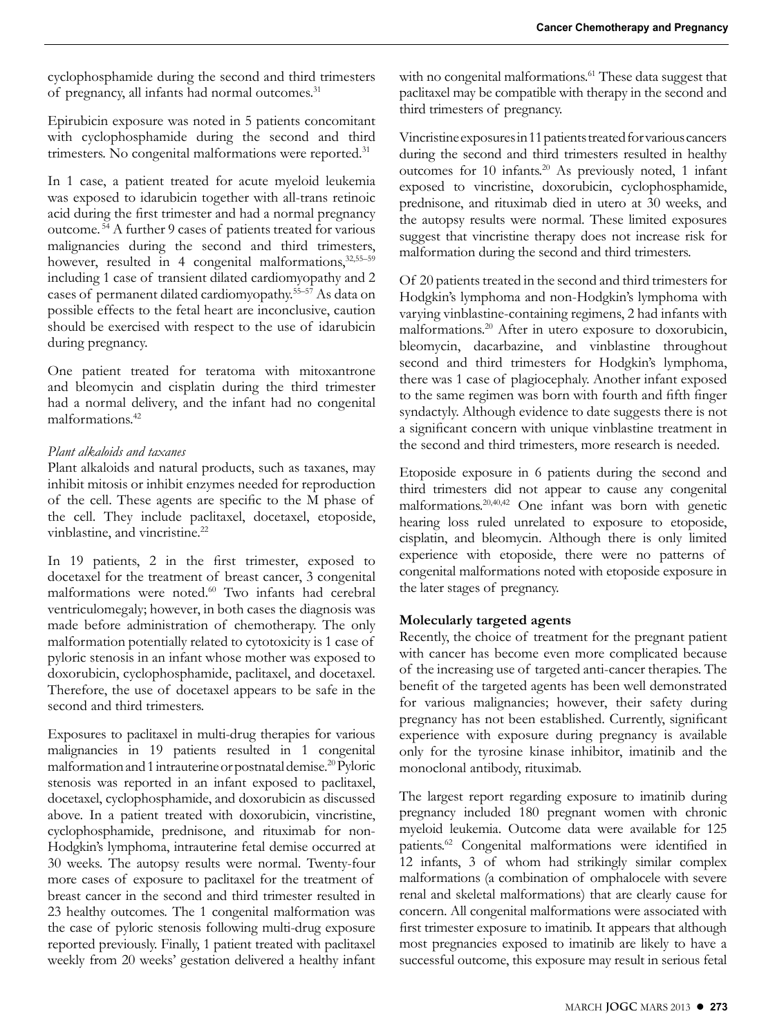cyclophosphamide during the second and third trimesters of pregnancy, all infants had normal outcomes.<sup>31</sup>

Epirubicin exposure was noted in 5 patients concomitant with cyclophosphamide during the second and third trimesters. No congenital malformations were reported.31

In 1 case, a patient treated for acute myeloid leukemia was exposed to idarubicin together with all-trans retinoic acid during the first trimester and had a normal pregnancy outcome. 54 A further 9 cases of patients treated for various malignancies during the second and third trimesters, however, resulted in 4 congenital malformations, $32,55-59$ including 1 case of transient dilated cardiomyopathy and 2 cases of permanent dilated cardiomyopathy.55–57 As data on possible effects to the fetal heart are inconclusive, caution should be exercised with respect to the use of idarubicin during pregnancy.

One patient treated for teratoma with mitoxantrone and bleomycin and cisplatin during the third trimester had a normal delivery, and the infant had no congenital malformations.42

### *Plant alkaloids and taxanes*

Plant alkaloids and natural products, such as taxanes, may inhibit mitosis or inhibit enzymes needed for reproduction of the cell. These agents are specific to the M phase of the cell. They include paclitaxel, docetaxel, etoposide, vinblastine, and vincristine.<sup>22</sup>

In 19 patients, 2 in the first trimester, exposed to docetaxel for the treatment of breast cancer, 3 congenital malformations were noted.60 Two infants had cerebral ventriculomegaly; however, in both cases the diagnosis was made before administration of chemotherapy. The only malformation potentially related to cytotoxicity is 1 case of pyloric stenosis in an infant whose mother was exposed to doxorubicin, cyclophosphamide, paclitaxel, and docetaxel. Therefore, the use of docetaxel appears to be safe in the second and third trimesters.

Exposures to paclitaxel in multi-drug therapies for various malignancies in 19 patients resulted in 1 congenital malformation and 1 intrauterine or postnatal demise.20 Pyloric stenosis was reported in an infant exposed to paclitaxel, docetaxel, cyclophosphamide, and doxorubicin as discussed above. In a patient treated with doxorubicin, vincristine, cyclophosphamide, prednisone, and rituximab for non-Hodgkin's lymphoma, intrauterine fetal demise occurred at 30 weeks. The autopsy results were normal. Twenty-four more cases of exposure to paclitaxel for the treatment of breast cancer in the second and third trimester resulted in 23 healthy outcomes. The 1 congenital malformation was the case of pyloric stenosis following multi-drug exposure reported previously. Finally, 1 patient treated with paclitaxel weekly from 20 weeks' gestation delivered a healthy infant with no congenital malformations.<sup>61</sup> These data suggest that paclitaxel may be compatible with therapy in the second and third trimesters of pregnancy.

Vincristine exposures in 11 patients treated for various cancers during the second and third trimesters resulted in healthy outcomes for 10 infants.20 As previously noted, 1 infant exposed to vincristine, doxorubicin, cyclophosphamide, prednisone, and rituximab died in utero at 30 weeks, and the autopsy results were normal. These limited exposures suggest that vincristine therapy does not increase risk for malformation during the second and third trimesters.

Of 20 patients treated in the second and third trimesters for Hodgkin's lymphoma and non-Hodgkin's lymphoma with varying vinblastine-containing regimens, 2 had infants with malformations.20 After in utero exposure to doxorubicin, bleomycin, dacarbazine, and vinblastine throughout second and third trimesters for Hodgkin's lymphoma, there was 1 case of plagiocephaly. Another infant exposed to the same regimen was born with fourth and fifth finger syndactyly. Although evidence to date suggests there is not a significant concern with unique vinblastine treatment in the second and third trimesters, more research is needed.

Etoposide exposure in 6 patients during the second and third trimesters did not appear to cause any congenital malformations.20,40,42 One infant was born with genetic hearing loss ruled unrelated to exposure to etoposide, cisplatin, and bleomycin. Although there is only limited experience with etoposide, there were no patterns of congenital malformations noted with etoposide exposure in the later stages of pregnancy.

### **Molecularly targeted agents**

Recently, the choice of treatment for the pregnant patient with cancer has become even more complicated because of the increasing use of targeted anti-cancer therapies. The benefit of the targeted agents has been well demonstrated for various malignancies; however, their safety during pregnancy has not been established. Currently, significant experience with exposure during pregnancy is available only for the tyrosine kinase inhibitor, imatinib and the monoclonal antibody, rituximab.

The largest report regarding exposure to imatinib during pregnancy included 180 pregnant women with chronic myeloid leukemia. Outcome data were available for 125 patients.62 Congenital malformations were identified in 12 infants, 3 of whom had strikingly similar complex malformations (a combination of omphalocele with severe renal and skeletal malformations) that are clearly cause for concern. All congenital malformations were associated with first trimester exposure to imatinib. It appears that although most pregnancies exposed to imatinib are likely to have a successful outcome, this exposure may result in serious fetal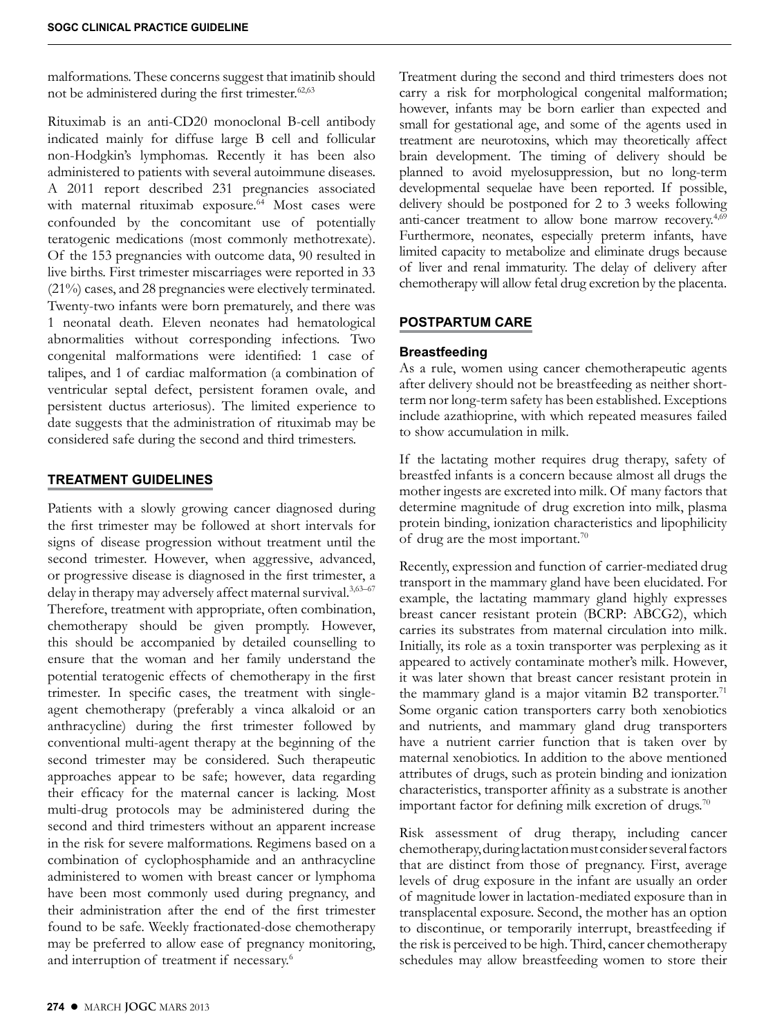malformations. These concerns suggest that imatinib should not be administered during the first trimester.<sup>62,63</sup>

Rituximab is an anti-CD20 monoclonal B-cell antibody indicated mainly for diffuse large B cell and follicular non-Hodgkin's lymphomas. Recently it has been also administered to patients with several autoimmune diseases. A 2011 report described 231 pregnancies associated with maternal rituximab exposure.<sup>64</sup> Most cases were confounded by the concomitant use of potentially teratogenic medications (most commonly methotrexate). Of the 153 pregnancies with outcome data, 90 resulted in live births. First trimester miscarriages were reported in 33 (21%) cases, and 28 pregnancies were electively terminated. Twenty-two infants were born prematurely, and there was 1 neonatal death. Eleven neonates had hematological abnormalities without corresponding infections. Two congenital malformations were identified: 1 case of talipes, and 1 of cardiac malformation (a combination of ventricular septal defect, persistent foramen ovale, and persistent ductus arteriosus). The limited experience to date suggests that the administration of rituximab may be considered safe during the second and third trimesters.

### **TREATMENT GUIDELINES**

Patients with a slowly growing cancer diagnosed during the first trimester may be followed at short intervals for signs of disease progression without treatment until the second trimester. However, when aggressive, advanced, or progressive disease is diagnosed in the first trimester, a delay in therapy may adversely affect maternal survival.<sup>3,63–67</sup> Therefore, treatment with appropriate, often combination, chemotherapy should be given promptly. However, this should be accompanied by detailed counselling to ensure that the woman and her family understand the potential teratogenic effects of chemotherapy in the first trimester. In specific cases, the treatment with singleagent chemotherapy (preferably a vinca alkaloid or an anthracycline) during the first trimester followed by conventional multi-agent therapy at the beginning of the second trimester may be considered. Such therapeutic approaches appear to be safe; however, data regarding their efficacy for the maternal cancer is lacking. Most multi-drug protocols may be administered during the second and third trimesters without an apparent increase in the risk for severe malformations. Regimens based on a combination of cyclophosphamide and an anthracycline administered to women with breast cancer or lymphoma have been most commonly used during pregnancy, and their administration after the end of the first trimester found to be safe. Weekly fractionated-dose chemotherapy may be preferred to allow ease of pregnancy monitoring, and interruption of treatment if necessary.6

Treatment during the second and third trimesters does not carry a risk for morphological congenital malformation; however, infants may be born earlier than expected and small for gestational age, and some of the agents used in treatment are neurotoxins, which may theoretically affect brain development. The timing of delivery should be planned to avoid myelosuppression, but no long-term developmental sequelae have been reported. If possible, delivery should be postponed for 2 to 3 weeks following anti-cancer treatment to allow bone marrow recovery.<sup>4,69</sup> Furthermore, neonates, especially preterm infants, have limited capacity to metabolize and eliminate drugs because of liver and renal immaturity. The delay of delivery after chemotherapy will allow fetal drug excretion by the placenta.

### **POSTPARTUM CARE**

### **Breastfeeding**

As a rule, women using cancer chemotherapeutic agents after delivery should not be breastfeeding as neither shortterm nor long-term safety has been established. Exceptions include azathioprine, with which repeated measures failed to show accumulation in milk.

If the lactating mother requires drug therapy, safety of breastfed infants is a concern because almost all drugs the mother ingests are excreted into milk. Of many factors that determine magnitude of drug excretion into milk, plasma protein binding, ionization characteristics and lipophilicity of drug are the most important.<sup>70</sup>

Recently, expression and function of carrier-mediated drug transport in the mammary gland have been elucidated. For example, the lactating mammary gland highly expresses breast cancer resistant protein (BCRP: ABCG2), which carries its substrates from maternal circulation into milk. Initially, its role as a toxin transporter was perplexing as it appeared to actively contaminate mother's milk. However, it was later shown that breast cancer resistant protein in the mammary gland is a major vitamin B2 transporter.<sup>71</sup> Some organic cation transporters carry both xenobiotics and nutrients, and mammary gland drug transporters have a nutrient carrier function that is taken over by maternal xenobiotics. In addition to the above mentioned attributes of drugs, such as protein binding and ionization characteristics, transporter affinity as a substrate is another important factor for defining milk excretion of drugs.<sup>70</sup>

Risk assessment of drug therapy, including cancer chemotherapy, during lactation must consider several factors that are distinct from those of pregnancy. First, average levels of drug exposure in the infant are usually an order of magnitude lower in lactation-mediated exposure than in transplacental exposure. Second, the mother has an option to discontinue, or temporarily interrupt, breastfeeding if the risk is perceived to be high. Third, cancer chemotherapy schedules may allow breastfeeding women to store their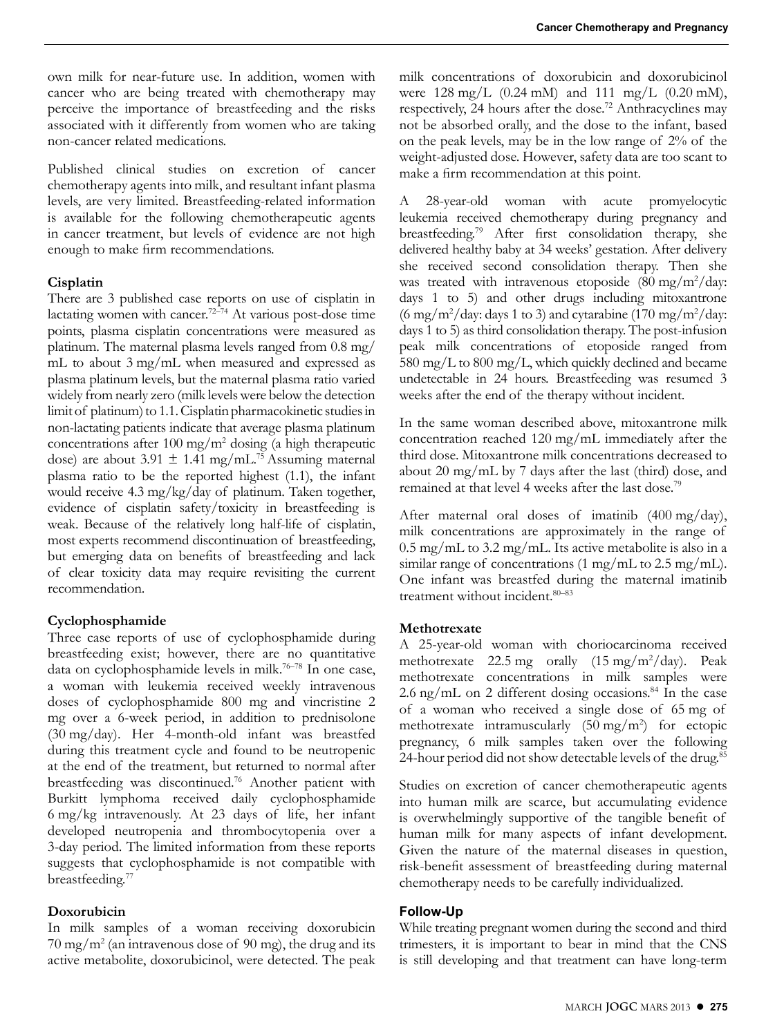own milk for near-future use. In addition, women with cancer who are being treated with chemotherapy may perceive the importance of breastfeeding and the risks associated with it differently from women who are taking non-cancer related medications.

Published clinical studies on excretion of cancer chemotherapy agents into milk, and resultant infant plasma levels, are very limited. Breastfeeding-related information is available for the following chemotherapeutic agents in cancer treatment, but levels of evidence are not high enough to make firm recommendations.

### **Cisplatin**

There are 3 published case reports on use of cisplatin in lactating women with cancer.<sup>72–74</sup> At various post-dose time points, plasma cisplatin concentrations were measured as platinum. The maternal plasma levels ranged from 0.8 mg/ mL to about 3 mg/mL when measured and expressed as plasma platinum levels, but the maternal plasma ratio varied widely from nearly zero (milk levels were below the detection limit of platinum) to 1.1. Cisplatin pharmacokinetic studies in non-lactating patients indicate that average plasma platinum concentrations after  $100 \text{ mg/m}^2$  dosing (a high therapeutic dose) are about 3.91  $\pm$  1.41 mg/mL.<sup>75</sup> Assuming maternal plasma ratio to be the reported highest (1.1), the infant would receive 4.3 mg/kg/day of platinum. Taken together, evidence of cisplatin safety/toxicity in breastfeeding is weak. Because of the relatively long half-life of cisplatin, most experts recommend discontinuation of breastfeeding, but emerging data on benefits of breastfeeding and lack of clear toxicity data may require revisiting the current recommendation.

### **Cyclophosphamide**

Three case reports of use of cyclophosphamide during breastfeeding exist; however, there are no quantitative data on cyclophosphamide levels in milk.<sup>76-78</sup> In one case, a woman with leukemia received weekly intravenous doses of cyclophosphamide 800 mg and vincristine 2 mg over a 6-week period, in addition to prednisolone (30 mg/day). Her 4-month-old infant was breastfed during this treatment cycle and found to be neutropenic at the end of the treatment, but returned to normal after breastfeeding was discontinued.76 Another patient with Burkitt lymphoma received daily cyclophosphamide 6 mg/kg intravenously. At 23 days of life, her infant developed neutropenia and thrombocytopenia over a 3-day period. The limited information from these reports suggests that cyclophosphamide is not compatible with breastfeeding.77

### **Doxorubicin**

In milk samples of a woman receiving doxorubicin  $70 \,\mathrm{mg/m^2}$  (an intravenous dose of 90 mg), the drug and its active metabolite, doxorubicinol, were detected. The peak

milk concentrations of doxorubicin and doxorubicinol were 128 mg/L (0.24 mM) and 111 mg/L (0.20 mM), respectively, 24 hours after the dose.<sup>72</sup> Anthracyclines may not be absorbed orally, and the dose to the infant, based on the peak levels, may be in the low range of 2% of the weight-adjusted dose. However, safety data are too scant to make a firm recommendation at this point.

A 28-year-old woman with acute promyelocytic leukemia received chemotherapy during pregnancy and breastfeeding.79 After first consolidation therapy, she delivered healthy baby at 34 weeks' gestation. After delivery she received second consolidation therapy. Then she was treated with intravenous etoposide (80 mg/m<sup>2</sup>/day: days 1 to 5) and other drugs including mitoxantrone (6 mg/m<sup>2</sup>/day: days 1 to 3) and cytarabine (170 mg/m<sup>2</sup>/day: days 1 to 5) as third consolidation therapy. The post-infusion peak milk concentrations of etoposide ranged from 580 mg/L to 800 mg/L, which quickly declined and became undetectable in 24 hours. Breastfeeding was resumed 3 weeks after the end of the therapy without incident.

In the same woman described above, mitoxantrone milk concentration reached 120 mg/mL immediately after the third dose. Mitoxantrone milk concentrations decreased to about 20 mg/mL by 7 days after the last (third) dose, and remained at that level 4 weeks after the last dose.<sup>79</sup>

After maternal oral doses of imatinib (400 mg/day), milk concentrations are approximately in the range of 0.5 mg/mL to 3.2 mg/mL. Its active metabolite is also in a similar range of concentrations (1 mg/mL to 2.5 mg/mL). One infant was breastfed during the maternal imatinib treatment without incident.<sup>80-83</sup>

### **Methotrexate**

A 25-year-old woman with choriocarcinoma received methotrexate 22.5 mg orally  $(15 \text{ mg/m}^2/\text{day})$ . Peak methotrexate concentrations in milk samples were 2.6 ng/mL on 2 different dosing occasions.<sup>84</sup> In the case of a woman who received a single dose of 65 mg of methotrexate intramuscularly  $(50 \text{ mg/m}^2)$  for ectopic pregnancy, 6 milk samples taken over the following 24-hour period did not show detectable levels of the drug.<sup>85</sup>

Studies on excretion of cancer chemotherapeutic agents into human milk are scarce, but accumulating evidence is overwhelmingly supportive of the tangible benefit of human milk for many aspects of infant development. Given the nature of the maternal diseases in question, risk-benefit assessment of breastfeeding during maternal chemotherapy needs to be carefully individualized.

### **Follow-Up**

While treating pregnant women during the second and third trimesters, it is important to bear in mind that the CNS is still developing and that treatment can have long-term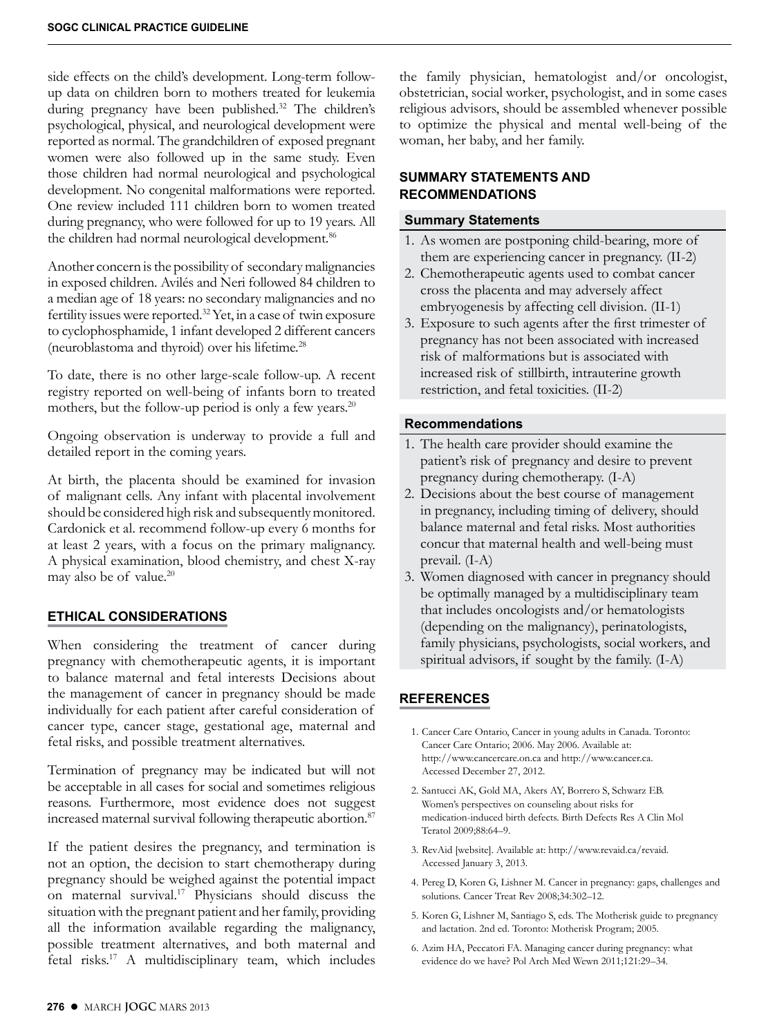side effects on the child's development. Long-term followup data on children born to mothers treated for leukemia during pregnancy have been published.<sup>32</sup> The children's psychological, physical, and neurological development were reported as normal. The grandchildren of exposed pregnant women were also followed up in the same study. Even those children had normal neurological and psychological development. No congenital malformations were reported. One review included 111 children born to women treated during pregnancy, who were followed for up to 19 years. All the children had normal neurological development.<sup>86</sup>

Another concern is the possibility of secondary malignancies in exposed children. Avilés and Neri followed 84 children to a median age of 18 years: no secondary malignancies and no fertility issues were reported.<sup>32</sup> Yet, in a case of twin exposure to cyclophosphamide, 1 infant developed 2 different cancers (neuroblastoma and thyroid) over his lifetime.28

To date, there is no other large-scale follow-up. A recent registry reported on well-being of infants born to treated mothers, but the follow-up period is only a few years.<sup>20</sup>

Ongoing observation is underway to provide a full and detailed report in the coming years.

At birth, the placenta should be examined for invasion of malignant cells. Any infant with placental involvement should be considered high risk and subsequently monitored. Cardonick et al. recommend follow-up every 6 months for at least 2 years, with a focus on the primary malignancy. A physical examination, blood chemistry, and chest X-ray may also be of value.20

# **ETHICAL CONSIDERATIONS**

When considering the treatment of cancer during pregnancy with chemotherapeutic agents, it is important to balance maternal and fetal interests Decisions about the management of cancer in pregnancy should be made individually for each patient after careful consideration of cancer type, cancer stage, gestational age, maternal and fetal risks, and possible treatment alternatives.

Termination of pregnancy may be indicated but will not be acceptable in all cases for social and sometimes religious reasons. Furthermore, most evidence does not suggest increased maternal survival following therapeutic abortion.87

If the patient desires the pregnancy, and termination is not an option, the decision to start chemotherapy during pregnancy should be weighed against the potential impact on maternal survival.17 Physicians should discuss the situation with the pregnant patient and her family, providing all the information available regarding the malignancy, possible treatment alternatives, and both maternal and fetal risks.17 A multidisciplinary team, which includes

the family physician, hematologist and/or oncologist, obstetrician, social worker, psychologist, and in some cases religious advisors, should be assembled whenever possible to optimize the physical and mental well-being of the woman, her baby, and her family.

# **Summary Statements and Recommendations**

### **Summary Statements**

- 1. As women are postponing child-bearing, more of them are experiencing cancer in pregnancy. (II-2)
- 2. Chemotherapeutic agents used to combat cancer cross the placenta and may adversely affect embryogenesis by affecting cell division. (II-1)
- 3. Exposure to such agents after the first trimester of pregnancy has not been associated with increased risk of malformations but is associated with increased risk of stillbirth, intrauterine growth restriction, and fetal toxicities. (II-2)

### **Recommendations**

- 1. The health care provider should examine the patient's risk of pregnancy and desire to prevent pregnancy during chemotherapy. (I-A)
- 2. Decisions about the best course of management in pregnancy, including timing of delivery, should balance maternal and fetal risks. Most authorities concur that maternal health and well-being must prevail. (I-A)
- 3. Women diagnosed with cancer in pregnancy should be optimally managed by a multidisciplinary team that includes oncologists and/or hematologists (depending on the malignancy), perinatologists, family physicians, psychologists, social workers, and spiritual advisors, if sought by the family. (I-A)

# **REFERENCES**

- 1. Cancer Care Ontario, Cancer in young adults in Canada. Toronto: Cancer Care Ontario; 2006. May 2006. Available at: http://www.cancercare.on.ca and http://www.cancer.ca. Accessed December 27, 2012.
- 2. Santucci AK, Gold MA, Akers AY, Borrero S, Schwarz EB. Women's perspectives on counseling about risks for medication-induced birth defects. Birth Defects Res A Clin Mol Teratol 2009;88:64–9.
- 3. RevAid [website]. Available at: http://www.revaid.ca/revaid. Accessed January 3, 2013.
- 4. Pereg D, Koren G, Lishner M. Cancer in pregnancy: gaps, challenges and solutions. Cancer Treat Rev 2008;34:302–12.
- 5. Koren G, Lishner M, Santiago S, eds. The Motherisk guide to pregnancy and lactation. 2nd ed. Toronto: Motherisk Program; 2005.
- 6. Azim HA, Peccatori FA. Managing cancer during pregnancy: what evidence do we have? Pol Arch Med Wewn 2011;121:29–34.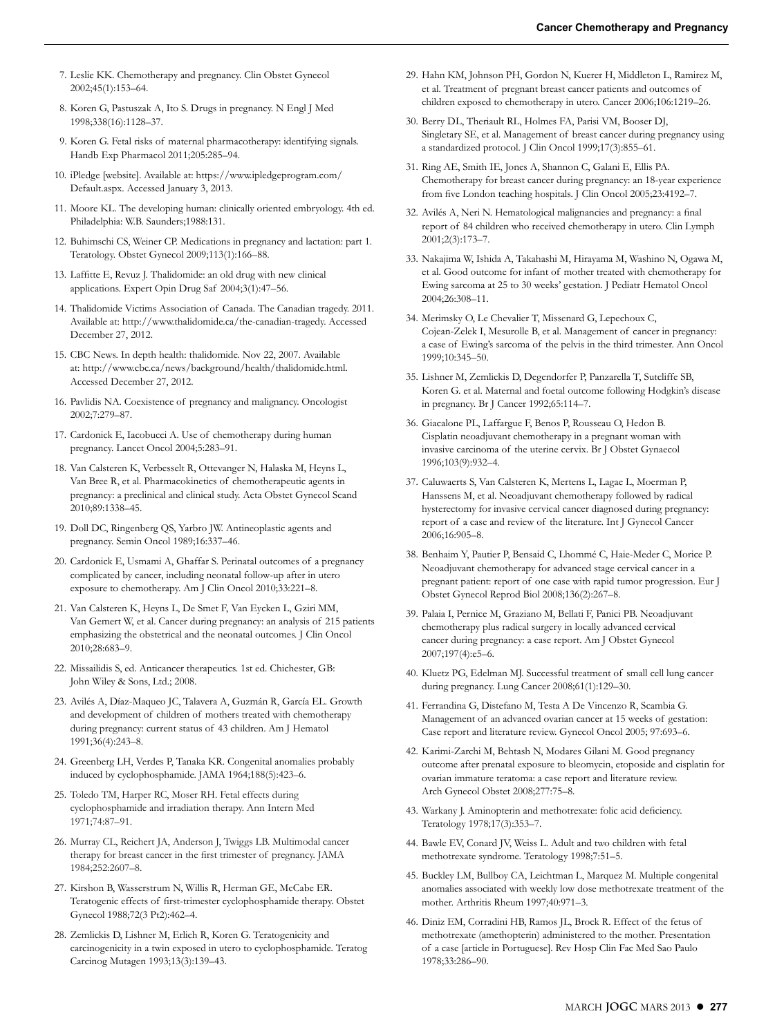- 7. Leslie KK. Chemotherapy and pregnancy. Clin Obstet Gynecol 2002;45(1):153–64.
- 8. Koren G, Pastuszak A, Ito S. Drugs in pregnancy. N Engl J Med 1998;338(16):1128–37.
- 9. Koren G. Fetal risks of maternal pharmacotherapy: identifying signals. Handb Exp Pharmacol 2011;205:285–94.
- 10. iPledge [website]. Available at: https://www.ipledgeprogram.com/ Default.aspx. Accessed January 3, 2013.
- 11. Moore KL. The developing human: clinically oriented embryology. 4th ed. Philadelphia: W.B. Saunders;1988:131.
- 12. Buhimschi CS, Weiner CP. Medications in pregnancy and lactation: part 1. Teratology. Obstet Gynecol 2009;113(1):166–88.
- 13. Laffitte E, Revuz J. Thalidomide: an old drug with new clinical applications. Expert Opin Drug Saf 2004;3(1):47–56.
- 14. Thalidomide Victims Association of Canada. The Canadian tragedy. 2011. Available at: http://www.thalidomide.ca/the-canadian-tragedy. Accessed December 27, 2012.
- 15. CBC News. In depth health: thalidomide. Nov 22, 2007. Available at: http://www.cbc.ca/news/background/health/thalidomide.html. Accessed December 27, 2012.
- 16. Pavlidis NA. Coexistence of pregnancy and malignancy. Oncologist 2002;7:279–87.
- 17. Cardonick E, Iacobucci A. Use of chemotherapy during human pregnancy. Lancet Oncol 2004;5:283–91.
- 18. Van Calsteren K, Verbesselt R, Ottevanger N, Halaska M, Heyns L, Van Bree R, et al. Pharmacokinetics of chemotherapeutic agents in pregnancy: a preclinical and clinical study. Acta Obstet Gynecol Scand 2010;89:1338–45.
- 19. Doll DC, Ringenberg QS, Yarbro JW. Antineoplastic agents and pregnancy. Semin Oncol 1989;16:337–46.
- 20. Cardonick E, Usmami A, Ghaffar S. Perinatal outcomes of a pregnancy complicated by cancer, including neonatal follow-up after in utero exposure to chemotherapy. Am J Clin Oncol 2010;33:221–8.
- 21. Van Calsteren K, Heyns L, De Smet F, Van Eycken L, Gziri MM, Van Gemert W, et al. Cancer during pregnancy: an analysis of 215 patients emphasizing the obstetrical and the neonatal outcomes. J Clin Oncol 2010;28:683–9.
- 22. Missailidis S, ed. Anticancer therapeutics. 1st ed. Chichester, GB: John Wiley & Sons, Ltd.; 2008.
- 23. Avilés A, Díaz-Maqueo JC, Talavera A, Guzmán R, García EL. Growth and development of children of mothers treated with chemotherapy during pregnancy: current status of 43 children. Am J Hematol 1991;36(4):243–8.
- 24. Greenberg LH, Verdes P, Tanaka KR. Congenital anomalies probably induced by cyclophosphamide. JAMA 1964;188(5):423–6.
- 25. Toledo TM, Harper RC, Moser RH. Fetal effects during cyclophosphamide and irradiation therapy. Ann Intern Med 1971;74:87–91.
- 26. Murray CL, Reichert JA, Anderson J, Twiggs LB. Multimodal cancer therapy for breast cancer in the first trimester of pregnancy. JAMA 1984;252:2607–8.
- 27. Kirshon B, Wasserstrum N, Willis R, Herman GE, McCabe ER. Teratogenic effects of first-trimester cyclophosphamide therapy. Obstet Gynecol 1988;72(3 Pt2):462–4.
- 28. Zemlickis D, Lishner M, Erlich R, Koren G. Teratogenicity and carcinogenicity in a twin exposed in utero to cyclophosphamide. Teratog Carcinog Mutagen 1993;13(3):139–43.
- 29. Hahn KM, Johnson PH, Gordon N, Kuerer H, Middleton L, Ramirez M, et al. Treatment of pregnant breast cancer patients and outcomes of children exposed to chemotherapy in utero. Cancer 2006;106:1219–26.
- 30. Berry DL, Theriault RL, Holmes FA, Parisi VM, Booser DJ, Singletary SE, et al. Management of breast cancer during pregnancy using a standardized protocol. J Clin Oncol 1999;17(3):855–61.
- 31. Ring AE, Smith IE, Jones A, Shannon C, Galani E, Ellis PA. Chemotherapy for breast cancer during pregnancy: an 18-year experience from five London teaching hospitals. J Clin Oncol 2005;23:4192–7.
- 32. Avilés A, Neri N. Hematological malignancies and pregnancy: a final report of 84 children who received chemotherapy in utero. Clin Lymph 2001;2(3):173–7.
- 33. Nakajima W, Ishida A, Takahashi M, Hirayama M, Washino N, Ogawa M, et al. Good outcome for infant of mother treated with chemotherapy for Ewing sarcoma at 25 to 30 weeks' gestation. J Pediatr Hematol Oncol 2004;26:308–11.
- 34. Merimsky O, Le Chevalier T, Missenard G, Lepechoux C, Cojean-Zelek I, Mesurolle B, et al. Management of cancer in pregnancy: a case of Ewing's sarcoma of the pelvis in the third trimester. Ann Oncol 1999;10:345–50.
- 35. Lishner M, Zemlickis D, Degendorfer P, Panzarella T, Sutcliffe SB, Koren G. et al. Maternal and foetal outcome following Hodgkin's disease in pregnancy. Br J Cancer 1992;65:114–7.
- 36. Giacalone PL, Laffargue F, Benos P, Rousseau O, Hedon B. Cisplatin neoadjuvant chemotherapy in a pregnant woman with invasive carcinoma of the uterine cervix. Br J Obstet Gynaecol 1996;103(9):932–4.
- 37. Caluwaerts S, Van Calsteren K, Mertens L, Lagae L, Moerman P, Hanssens M, et al. Neoadjuvant chemotherapy followed by radical hysterectomy for invasive cervical cancer diagnosed during pregnancy: report of a case and review of the literature. Int J Gynecol Cancer 2006;16:905–8.
- 38. Benhaim Y, Pautier P, Bensaid C, Lhommé C, Haie-Meder C, Morice P. Neoadjuvant chemotherapy for advanced stage cervical cancer in a pregnant patient: report of one case with rapid tumor progression. Eur J Obstet Gynecol Reprod Biol 2008;136(2):267–8.
- 39. Palaia I, Pernice M, Graziano M, Bellati F, Panici PB. Neoadjuvant chemotherapy plus radical surgery in locally advanced cervical cancer during pregnancy: a case report. Am J Obstet Gynecol 2007;197(4):e5–6.
- 40. Kluetz PG, Edelman MJ. Successful treatment of small cell lung cancer during pregnancy. Lung Cancer 2008;61(1):129–30.
- 41. Ferrandina G, Distefano M, Testa A De Vincenzo R, Scambia G. Management of an advanced ovarian cancer at 15 weeks of gestation: Case report and literature review. Gynecol Oncol 2005; 97:693–6.
- 42. Karimi-Zarchi M, Behtash N, Modares Gilani M. Good pregnancy outcome after prenatal exposure to bleomycin, etoposide and cisplatin for ovarian immature teratoma: a case report and literature review. Arch Gynecol Obstet 2008;277:75–8.
- 43. Warkany J. Aminopterin and methotrexate: folic acid deficiency. Teratology 1978;17(3):353–7.
- 44. Bawle EV, Conard JV, Weiss L. Adult and two children with fetal methotrexate syndrome. Teratology 1998;7:51–5.
- 45. Buckley LM, Bullboy CA, Leichtman L, Marquez M. Multiple congenital anomalies associated with weekly low dose methotrexate treatment of the mother. Arthritis Rheum 1997;40:971–3.
- 46. Diniz EM, Corradini HB, Ramos JL, Brock R. Effect of the fetus of methotrexate (amethopterin) administered to the mother. Presentation of a case [article in Portuguese]. Rev Hosp Clin Fac Med Sao Paulo 1978;33:286–90.